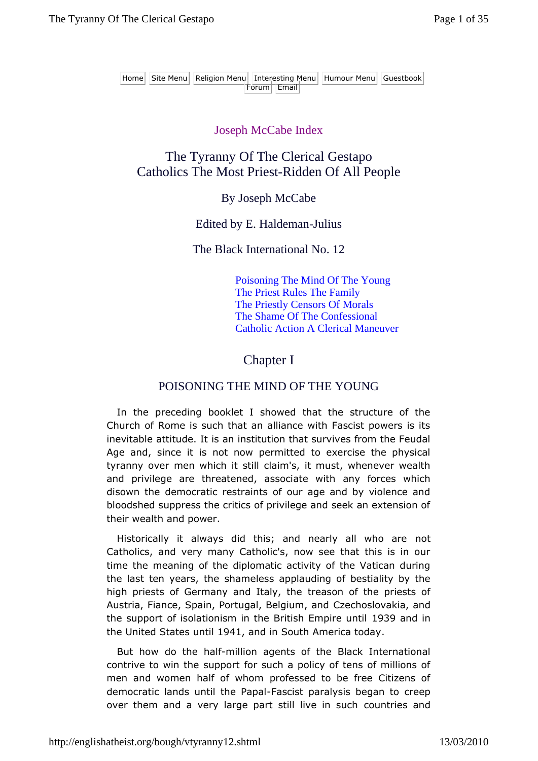#### Joseph McCabe Index

# The Tyranny Of The Clerical Gestapo Catholics The Most Priest-Ridden Of All People

#### By Joseph McCabe

#### Edited by E. Haldeman-Julius

## The Black International No. 12

Poisoning The Mind Of The Young The Priest Rules The Family The Priestly Censors Of Morals The Shame Of The Confessional Catholic Action A Clerical Maneuver

# Chapter I

#### POISONING THE MIND OF THE YOUNG

In the preceding booklet I showed that the structure of the Church of Rome is such that an alliance with Fascist powers is its inevitable attitude. It is an institution that survives from the Feudal Age and, since it is not now permitted to exercise the physical tyranny over men which it still claim's, it must, whenever wealth and privilege are threatened, associate with any forces which disown the democratic restraints of our age and by violence and bloodshed suppress the critics of privilege and seek an extension of their wealth and power.

Historically it always did this; and nearly all who are not Catholics, and very many Catholic's, now see that this is in our time the meaning of the diplomatic activity of the Vatican during the last ten years, the shameless applauding of bestiality by the high priests of Germany and Italy, the treason of the priests of Austria, Fiance, Spain, Portugal, Belgium, and Czechoslovakia, and the support of isolationism in the British Empire until 1939 and in the United States until 1941, and in South America today.

But how do the half-million agents of the Black International contrive to win the support for such a policy of tens of millions of men and women half of whom professed to be free Citizens of democratic lands until the Papal-Fascist paralysis began to creep over them and a very large part still live in such countries and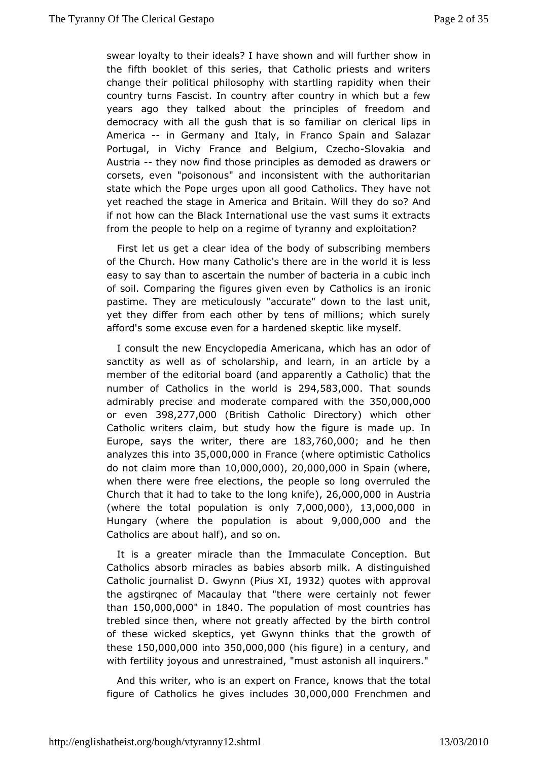swear loyalty to their ideals? I have shown and hwill further showed the fifth booklet of this series, that Catholic priests and w changeheir political philosophy with startling rapidity when t country tu<del>r</del>ness cist. In country after country in which but a fe years ago they talked the poptinciples of freedom and democracy with all the gush that is sole famaillibipsonn America- in Germany and Italy, in Franco Spain and Salaza Portugal, in Vichy France and BelgSumwakCazeahd Austriathey nownd those principles as demoded as drawers or corsets, even "poisonoiunss" o massion that with the authoritarian state which the Pope urges upCatholligs.od They have not yet reached the stage in America and Brdioasho.? Whirld they if not how can the Black International use the vast sums it ex from the people to help on a regime of tyranny and exploitatic

First lest get a clear idea of the body of subscribing member of the Church. How Cmatholic's there are in the world it is less easy to say than to ascenrut mibeth of bacteria in a cubic inch of soil. Comparing the figures gi $\Omega$  athe wes by an ironic pastime. They are meticulously "accurate " and unit to the yet they differ from each other by tens of millions; which s afford's some excuse even for a hardened skeptic like myself.

I consuthe new Encyclopedia Americana, which has an odor sanctity as well sexshoolfarship, and learn, in an article by a member of the editorial boappoda (endly a Catholic) that the number of Catholics in the 2  $\phi$  4, 5  $\bullet$  3 is 20 Dhat sounds admirably precise and moderate compa3r5e0d,000i0th000be or even398,277,00(British Catholic D) rewontine the other Catholic writers claismhud but ow the figure is made up. In Europe, says the writer, the  $8.8$ e7 $@0@0@0d$  he then analyzes this 350,10000,000 Fran(oveh eroptimistic Catholics do not claim more 1  $0,000,000,000,000$  Spa $(i$  where, when there were free elections, the people so long overrule Churcthat it had to take to the  $l$ ,  $\alpha$ f6g 0kmi,  $f$  $\odot$  0 Austria (where the toptoap ulation is  $\bar{D}$ ,  $\Omega$  $[0,0,0,0]$   $(1,3,0,0,0,0)$   $(0,1)$ Hungary (where the population is aboo,000 and the Catholics are about half), and so on.

It is greater miracle than the Immaculate Conception. Bu Catholics absorb miralced bises as a bsorb milk. A distinguished Catholic journalGs own philos X1932 quotes with approval the agstirqnec of Macaulay that "there were weertainly not than150,000,000 1840 The population of most countries has treblesdince then, where not greatly affected by the birth con of these wic skeed ptics, yet Gwynn thinks that the growth of  $thesd50,000,0000t@50,000,0000$  s figure) in a century, and with fertility joyous and unrestrainted is "masltinquirers."

And this writer, who is an expert noon  $\mathbf s$  rtahmede the total figure of Catholics he give 30 jool @ . Josh Frenchmand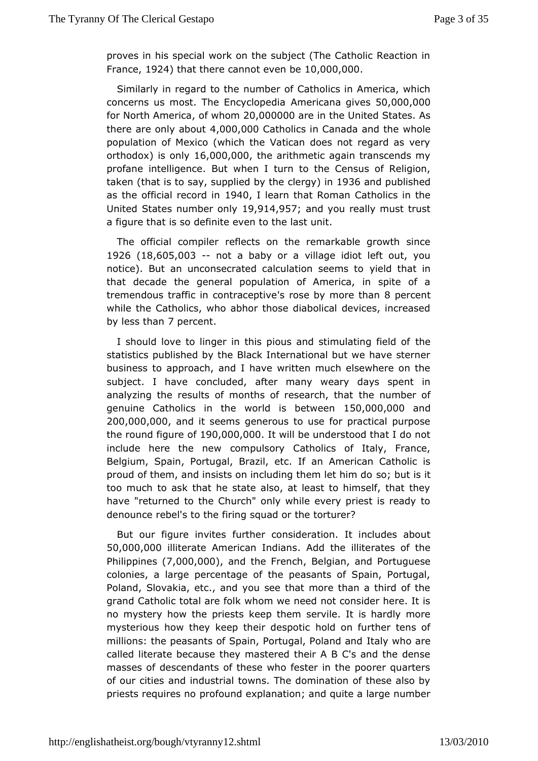proves in his special work on the subject (The Catholic Reac France,  $924$  that there cannot even  $0.00$ ,  $0.00$ 

Similarly in regard ntom bleer of Catholics in America, which concerns us most. The  $EncA$  rolleon  $p$  is  $a$  and  $a$  is  $a$   $b$   $a$   $a$   $b$   $c$   $a$   $b$   $c$   $b$   $c$ for North Ameofcwhom20.0000000 in tuhneited States. As there are only  $4b@@0,0@0a$ tholics in Canada wahnollethe population of Mexico (which the Vatican does not regard as  $orthodox\$  onl $\sqrt{6}$ ,000,0.0the arithmetic again transcends my profane intelligencwhe But turn to the Census of Religion, taken (that is to say, supploibed to oby in 1936 and published as the official red @ p4d linlearn that Rodmaatholics in the United States number  $9,00$ n  $4,9,5$ and you really must trust a figure that is so definite even to the last unit.

The official compflects on the remarkable growth since 1926 (18,605,003 not a baby ovilaage idiot left out, you notice). But an unconsecrated calcula wien his steheam is into that decade the general population of America, in spite  $\epsilon$ tremendous traffic in con'tranospetibly emore 8 theoricent while the atholics, who abhor those diabolical devices, increas by less th $7$ apmercent.

I should love to linger in this pious and stimelating field  $\epsilon$ statistics published by the Black International but we have s businese approach, and I have written much elsewhere on th subject. I have concalut beard, many weary days spent in analyzing the results of months of rehsee anomobethadf genuine Catholics in the world its 50b @ two-@ 0xa0nd 200,000,00aCnd it seems generous to use for practical purpos the round figut  $0,000,000$  will be understood that I do not include here the compulsory Catholics of Italy, France, Belgium, Spain, Portugal, Brazzni, Amentecrician Catholic is proud of them, and insists on including shoembuletishim do too much to ask that he state also, at least to himself, that have "returned to the Church" only while every priest is rea denouncebel's to the firing squad or the torturer?

But our figure infuittenser consideration. It includes about 50,000,000 literate American IAnddianise illiterates of the  $P$ hilippin $(E \leq 0.00, 0.00)$  Cand the French gian nd Portuguese colonies, a large percentage of the peasants of Spain, Por Poland, Slovakia, etc., and you see that more than a third c grand Cathbolial are folk whom we need not consider here. It is no mystery how the paries prison servile. It is hardly more mysterious how they keep their olde soproticarther tens of millions: the peasants of Spain, Portud and Iy P who and rand called literate because they mastered their A B C's and the masses of descendants of these who fester in the poorer qua of our citaes industrial towns. The domination of these also  $\vdash$ priests requir psoniound explanation; and quite a large number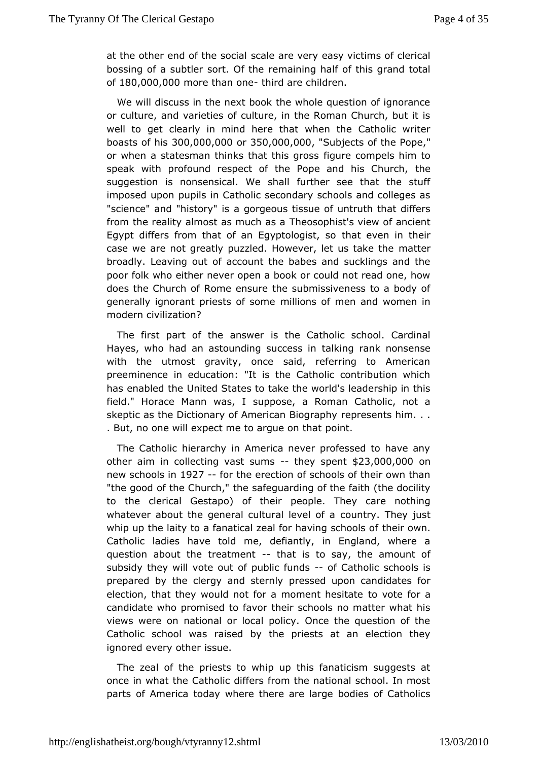at the other end of the cast be cigarle very easy victims of clerical bossing of a subtler some mation timeg half of this grand total  $of 180,000,000$  more than - otheird achildren.

We will discuss in the next book the whole question of igno or culture, and varieties of culture, in the Roman Church, but well to gettearly in mind here that when the Catholic write boasts of  $300,000,000350,000,000$  ,  $000$  whiects of the "Pope or when a statesman thinks thatfithuirse comonsipels him to speak with profound respect of the Pope and the Church, suggestion is nonsensical. We shall further see that the imposed uppourpils in Catholic secondary schools and colleges "science" and "histaorgy drigseous tissue of untruth that differs from the reality almost as muebsasphast's view of ancient Egypt differs from that of an Egyphatogisetn in their case we are not greatly puzzled. However, mlættteurs take the broadly. Leaving out of account the babes and sucklings an poor fow tho either never open a book or could not read one, h does the Church of ensume the submissiveness to a body of generally ignorant priestsmolflions and in and women in modern civilization?

The first part of antshower is the Catholic school. Cardinal Hayes, who had an astounding tsaukicrecas raink nonsense with the utmost gravity, once said, referring to Americ preeminence in education: "It is the Catholic contribution v has enabled Utmieted States to take the world's leadership in th field." Horace Mann swapsposie, a Roman Catholic, not a skeptic as the Dictionary of Americrae presisce gartasphym... . But, no one will expect me to apqueed on that

The Catholic hierarchy in America never professed to have otheraim in collecting vas-t-theory spe $$23,000,000$ new school \$ 9i2n7 - for the erection of schools of their own than "the good of the Chursh the dethearding of the faith (the docility to the clerical Gestapo) poetopthee.ir They care nothing whatever about the general culturabule trey! of they just whip up the laity to a fanatical zeal for having wahools of Catholic ladies have told me, defiantly, in England, where questioanbout the treatmentat is to say, the amount of subsidy they will voote poubtlic funds Catholic schools is prepared by the clergy and ressendly upon candidates for election, that they would not for a motmoenothesiotate candidate who promised to favor their schools no matter wha views were on national or local policy. Once the question c Catholic schoond raised by the priests at an election they ignored every oshee.

The zeal of the priests to whip up this fanaticism sugges oncen what the Catholic differs from the national school. In parts of Ametroday where there are large bodies of Catholics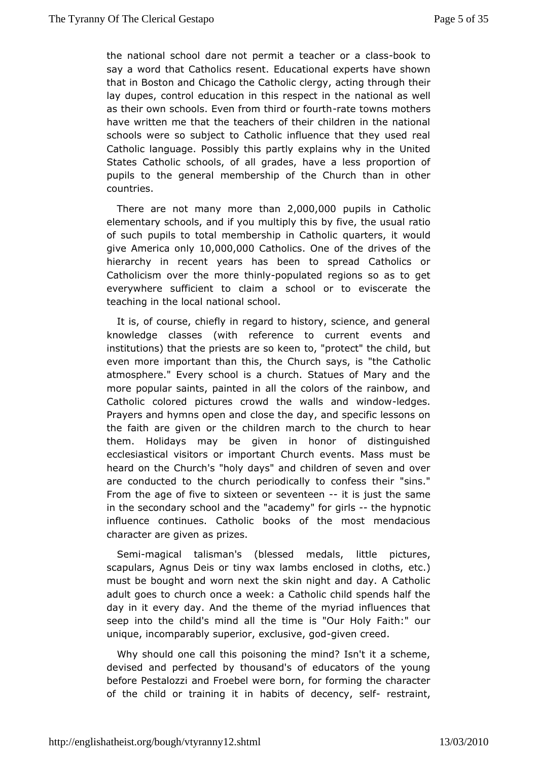the national school dweemit the teacher or hook as say a word that Catholic Educase thional experts have shown that in Boston and Chicago the Catholing theogy, h their lay dupes, control education in this mastime  $\alpha$  in the national as the change of  $\alpha$ as their own schools. Even from thrantde down most theirs have written me that the teachers of their children in the na schools were so subject to Catholic influence that they use Catholianguage. Possibly this partly explains why in the Unit States Cathothcools, of all grades, have a less proportion of pupils to the gemenabership of the Church than in other countries.

There are not many than  $2,000,000$  upils in Catholic elementary schools, and if you boulftipely the susual ratio of such pupils to total membershipquinart@eashoilticwould give America  $\texttt{b0.1000.000}$ atholi $\textcolor{red}{\bullet}$  . One of the drive here of hierarchy in recent years has been to spread Catholics Catholicism obvermore thip d pulated regions so as to get everywhere sufficient to school a sorto eviscerate the teaching in the local national school.

It isof course, chiefly in regard to history, science, and ger knowledge clas(sweisth reference to current events and institutions) that the priests  $\texttt{face "spor}$  okteen" the child, but even more important than this, the Ch"uthoeh Csaatyhso, lics atmosphere." Every school is a church. Statues of Mary and more popular saints, painted in all the colors of the rainbow Catholiccolored pictures crowd the walls-laendogewindow Prayers and hymns opcolos and he day, and specific lessons on the faith are given or the childloeth menach child of to hear them. Holidays may be given in honor of distinguished ecclesiastical visitors or important Church events. Mass mu heard on tCheurch's "holy days" and children of seven and ove are conducted to the pochruiodhically to confess their "sins." From the age of five to sale the emit is just the same in the secondary school and the "gicral setth of "hisoprnotic influence continues. Catholic books of the most mendaci character are given as prizes.

Sem-magical talisman's (blessed limitedal pictures, scapulars, Agnus Deis or tiny wax lambs enetos)ed in cloths, must be bought and worn next the skin night and day. A Catholic adult goteos church once a week: a Catholic child spends half t day in it every day he A nibeleme of the myriad influences that seep into the child's mind alils th@utimHoly Faith:" our unique, incomparably superior, expainesmoive edgod

Why should one call this poisoning the mind? Isn't it a sch devised and perfected by thousand's of educators of the  $y_{\perp}$ before Pestaandz Froebel were born, for forming the character of the child or training abiitt sinof decency, resset faint,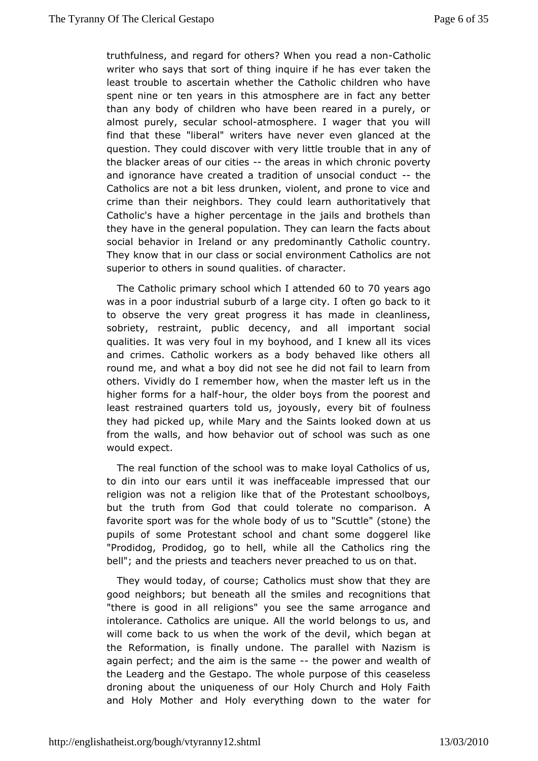truthfulness, and regard for otherus? eb. When Cantholic writer who says that sort of thing incewice taken has least trouble to ascertain whether the Catholic children who spent nine or ten years in this atmosphere are in fact any t than any body of children who have been reared in a purely, or almost purely, sescuhloaneditmosphere. I wager that you will find that these "liberal" writeverhaven glanced at the question. They could discover with verthalitithe atropuddle the blacker areas of outheit a eas in which poventy and ignorance have created a tradition of untshoecial conduct Catholics are not a bit less drunken, violent, and prone to vi crime thaneir neighbors. They could learn authoritatively th Catholic's have a pheigun pertage in the jails and brothels than they have in the general  $p\overline{\Phi}$  be  $q$  the same the facts about social behavior in Ireland or any pCed booticanolyntry. They know that in our class or social enviranement Catholics superior to others in sound qualities. of character.

The Cathoplnicm ary school which I of the on7dDevde ars ago was in a poor indsus buind of a large city. I often go back to it to observe the very great iprongues ansade in cleanliness, sobriety, restraint, public decenciym, poarnt dintal bocial qualities. It was very foul in my boyhood, awid dsknew all its and crimes. Catholic workers as a body behaved like other round mand what a boy did not see he did not fail to learn fr others. Vividly red med mber how, when the master left us in the higher forms for-hounalfthodder boys from the poorest and least restrained quarters told usyeinay dously foulness they had picked up, while Mary and the Saintsubooked down from the walls, and how behavior out of school was such as would xpect.

The real function of the school was to make loyal Catholics to din into our ears until it was ineffaceable impressed tha religion whas a religion like that of the Protestant schoolboy but the truth from the add could tolerate no comparison. A favorite sport was for the whole ob bargue flew's (stone) the pupils of some Protestant school and cody generie is onke "Prodidog, Prodidog, go to hell, while all the Catholics rin bell"; and the priests and teachers never preached to us on th

The would today, of course; Catholics must show that they a good neighbors behoud ath all the smiles and recognitions that "there is good in all rebigions" the same arrogance and intolerance. Catholics are unique. belonings to us, and will come back to us when the work of the deatil, which bega the Reformation, is finally undone. The parallel with Nazis agaipperfect; and the aim is the heapnoewer and wealth of the Leaderg an Getheapo. The whole purpose of this ceaseless droning about the uniquened slotConument and Holy Faith and Holy Mother and Holy everything downfoo the water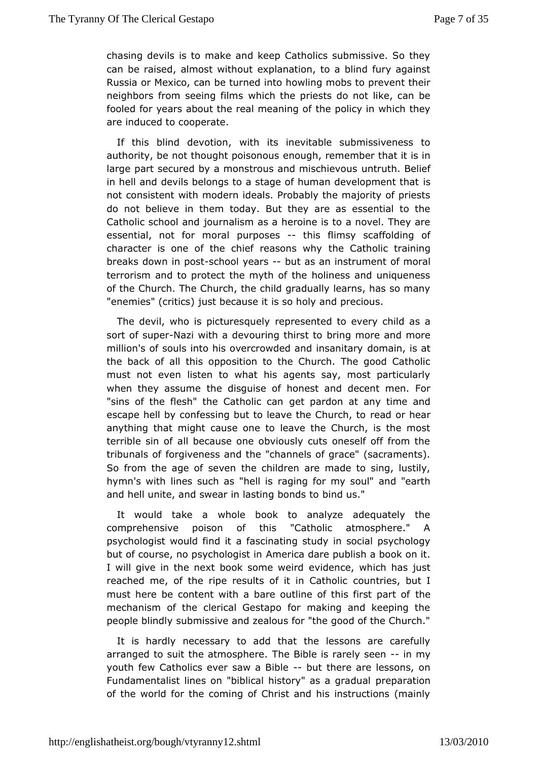chasing devils is to make and keep Catholics submissive. So can beaised, almost without explanation, to a blind fury agai Russia or Mexamobe turned into howling mobs to prevent their neighbors from seeinwahfidhmshe priests do not like, can be fooled for years about the realthe enoughing voith which they are induced to cooperate.

If this blind devowtiitchn, its inevitable submissiveness to authority, be not thought peonics commonlust emember that it is in large part secured by a monstrous and nntniustch.ieBveoluiesf in hell and devils belongs to a stage of humanisdevelopment t not consistent with modern ideals. Probably the majority of p do nobelieve in them today. But they are as essential to t Catholic schoolo and alism as a heroine is to a novel. They are essential, not for pmuorpaolses this flimsy scaffolding of character is one of the chief reasolest who higher training breaks down in-spc bostol yea-rissut as an instrum fembral terrorism and to protect the myth of the holiness and unique of the hurch. The Church, the child gradually learns, has so m "enemies" (crijusts) because it is so holy and precious.

The devil, who is pictures requeed wited to every child as a sort of subleazi with a devouring bhingt more and more million's of souls into his overcrowded damontim, sasniatary the back of all this opposition to the Church. The good Ca must not even listen to what his agents say, most particul when they assummee disguise of honest and decent men. For "sins of the flesh" the Cathedlipcardoon at any time and escape hell by confessing but to leaver than Church, to anything that might cause one to leave the Church, is the  $\blacksquare$ terrible sin of all because one obviously cuts oneself off from tribunalsforfgiveness and the "channels of grace" (sacraments So from the age of the vehildren are made to sing, lustily, hymn's with lines such as agheegi fios rmy soul" and "earth and hell unite, and swear in lastingd buosnds to

It would take a whole book to analyze adequately the comprehensive poison of this "Catholic atmosphere." psychologist would afinads dinating study in social psychology but of course, no psych**elme gistaindare** publish a book on it. I will give in the next book somideweer, dwhich has just reached me, of the ripe results of ctountrocashobiuct I must here be content with a bare outline of tthes first part c mechanism of the clerical Gestapo for making and keeping people blins dulby missive and zealous for "the good of the Church

It is hard lecessary to add that the lessons are carefully arranged to suit the atm $\overline{\Phi}$ beh Berbele is rarely isneemy youth few Catholics ever sawbattBhidente are lessons, on Fundamentalist lines on "biblical historg "eparation madual of the world for the coming of Christ and his instructions (n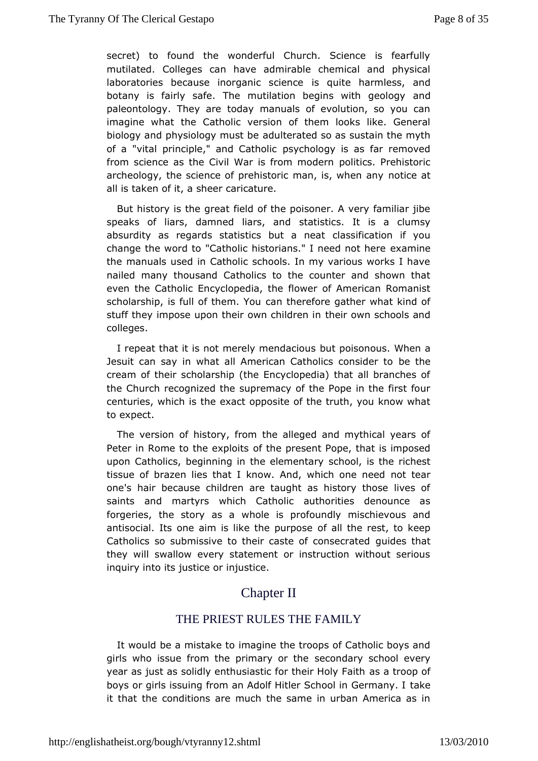secret) to found the wonderful Church. Science is fearf mutilated. Collegeshave admirable chemical and physical laboratories because inorganis quience armless, and botany is fairly safe. The mutilation begins nowith geology paleontology. They are today manuals of evolution, so you imagine whtahte Catholic version of them looks like. Genera biology and physiology and with the that and so as sustain the myth of a "vital principle," and  $\mathcal{S}$  athology is as far removed from science as the Civil War is proolmitionso.dermehistoric archeology, the science of prehistoric mamqtise when any all is taken of it, a sheer caricature.

But history is the figend and the poisoner. A very familiar jibe speaks of liars, damned listratistics. It is a clumsy absurdity as regards statistics bluatssaifince aiton if you change the word to "Catholic historians." dxamed enot here the manuals used in Catholic schools. In my various works I naile chany thousand Catholics to the counter and shown the even the CathEon covelopedia, the flower of American Romanist scholarship, is full of the mether of the refore gather what kind of stuff they impose upon their own the erildorwerm suchools and colleges.

I repeat that it is not merely menophot is when a Jesuit can say in what all American Cathoblecsheonsider to cream of their scholarship (the Encyclopedia) that all brancl theChurch recognized the supremacy of the Pope in the first centuries, whsicth e exact opposite of the truth, you know what to expect.

The versioofn history, from the alleged and mythical years o Peter in Rome to the  $\mathbf{c}$  the present Pope, that is imposed upon Catholics, beginning in the sehementary he richest tissue of brazen lies that I know. And, whoitch eame need one's hair because children are taught as history those live saintsand martyrs which Catholic authorities denounce a forgeries, the storywhas lea is profoundly mischievous and antisocial. Its one aim is like  $\phi$ healdurhpesreest, to keep Catholics so submissive to their caste goufides on steatated they will swallow every statement or instruction without se inquiry into its justice or injustice.

## **ChapterII**

#### THE PRIEST RULES THE FAMILY

It would be a mistarkagione the troops of Catholic boys and girls who issue from the primaey condathye school every year as just as solidly enthusiastic foratsheaintrholopy offaith boys or girls issuing from an Adolf Hitler Schabe in Germany. it that the conditions are much the same in urban America  $\imath$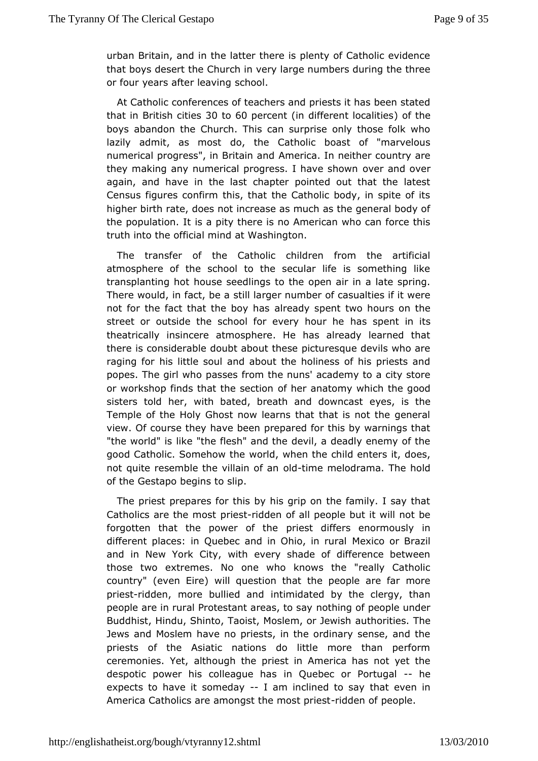urbanBritain, and in the latter there is plenty of Catholic evid that boys detsheert Church in very large numbers during the three or four years after seaving

At Catholic conferences of teachers and priests it has been that in British  $x0$ ttie $60$  percentin different localities boysabandon the Church. This can surprise only those folk  $\overline{v}$ lazily admit, as drogstthe Catholic boast of "marvelous numerical progress", in BAime imicand In neither country are they making any numerical progress. by heavens howen again, and have in the last chapter pointed out that the  $\mathbf{R}$ Census figures confirm this, that the Catholic body, in spite highebirth rate, does not increase as much as the general bod the populations at pity there is no American who can force this truth into the officiant Wat arschington.

The transfer of the Catholic children from the artific atmosphere of the school to the secular life is something transplantinghbote seedlings to the open air in a late spring There would, in facst, ilbe a sarger number of casualties if it were not for the fact that the aboeya dhyasspent two hours on the street or outside the school for evhearsy shopeumthien its theatrically insincere atmosphere. He has already learned there is considerable doubt about these picturesque devils wl raging flow is little soul and about the holiness of his priests popes. The girbawh scess from the nuns' academy to a city store or workshop finds that the fsteectionatomy which the good sisters told her, with bated, breath ærydesdowsndaet Temple of the Holy Ghost now learns that that is not the ge view. Of course they have been prepared for this by warnings "the worldliks "the flesh" and the devil, a deadly enemy of th good Catholic. Somehwow lthew hen the child enters it, does, not quite resemble the viloa dhime amelodrama. The hold of the Gestapo begins to slip.

The prieps the pares for this by his grip on the family. I say the Catholics are the p minessattidden of all people but it will not be forgotten that the power poffest the differs enormously in different places: in Quebec and in **Ode ko**coinor u Baazil and in New York City, with every shade of difference betw those two extremes. No one who knows the "really Catho country" (even  $\mathbf{\mathbf{\mathbf{\mathfrak{w}}}}$  if  $\mathbf{\mathfrak{b}}$  ) question that the people are far more priestidden, more bullieicht am idated by the clergy, than people are in rural Protestant ancetahsing oo sapeople under Buddhist, Hindu, Shinto, Taoist, Mosaeunhooritibesswistme Jews and Moslem have no priests, in the ordinary sense, an priests of the Asiatic nations do little more than perform ceremonies. Yeth, ough the priest in America has not yet the despotic power his colleague uheabse or Portungeal expects to have it somledany inclined to has a yeven in America Catholics are amongst the idnobes t pericepsite.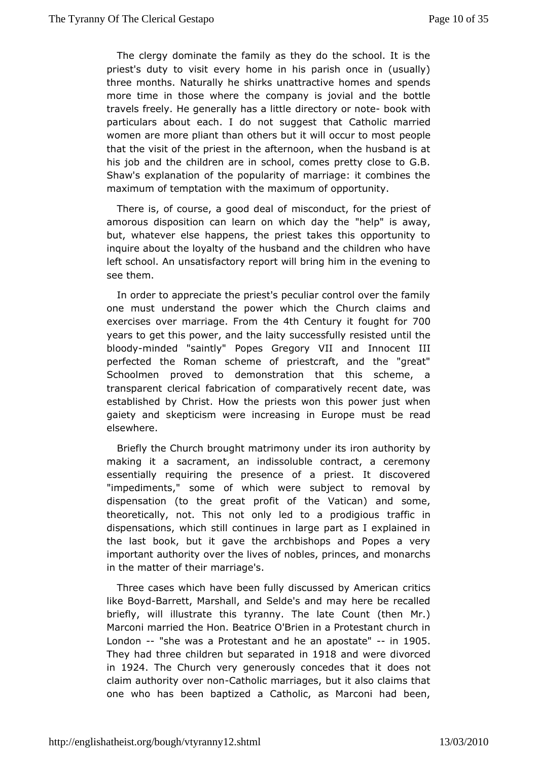The clergy dominate the family as they do the school. It is priest's duty to visit every home in his parish once in (usually) three mont Nsaturally he shirks unattractive homes and spend: more time in those where  $\theta$  the complete is jovial and the bottle travels freely. He generally chias cao hivt to e-rocot or k with particulars about each. I do not sQuagtgheoslicthmaetrried women are more pliant than others but it wide concloeur to most that the visit of the priest in the afternoon, when the husband hisjob and the children are in school, comes pretty close to Shaw's xplanation of the popularity of marriage: it combines maximum of temptwitth the maximum of opportunity.

There is, of course, a goomdiscle and loott, for the priest of amorous disposition can learn on whhiehp days the ay, but, whatever else happens, the priest takes this opportuni inquire about the loyalty of the husband and the children who left scholon. unsatisfactory report will bring him in the evening see them.

Inorder to appreciate the priest's peculiar control over the f one musutnderstand the power which the Church claims and exercises over marriagehe#thonCentury it foug7h00 for years to get this power, and uthce slaityly resisted until the blood minded "saintly" Popes Gregory In Not cent and III perfected the Roman scheme of priestcraft, and the "gre Schoolmen proved to demonstration that this scheme, transparent cleait raition of comparatively recent date, was established by Christ. **H**ow at the won this power just when gaiety and skepticism were increasimmgus in beau rroepaed elsewhere.

Briefly the Church brought matrimonomumulten its by making it a sacrament, an indissoluble contract, a cerem essentially requiring the presence of a priest. It discov "impediments, o" me of which were subject to removal by dispensation (to the great to the of ill a to the nod some, theoretically, not. This not only led to traffico dingious dispensations, which still continues in large part as I explai the last book, but it gave the archbishops and Popes a v important authoviety the lives of nobles, princes, and monarchs in the matter of mtaneriirage's.

Three cases which have been fully discussed tiby American like Bo-Boarrett, Marshall, and Selde's and may here be recal briefly, will illustrate this tyranny. The late Count (then Marconi marthed Hon. Beatrice O'Brien in a Protestant church London-"she was Paotestant and he an apoist tage  $5$ They had three children but issel parated were divorced in 1924 The Church very generously conceldes thoat it claim authority over thomic marriages, but it also claims that one who has been baptized a Catholic, as Marconi had be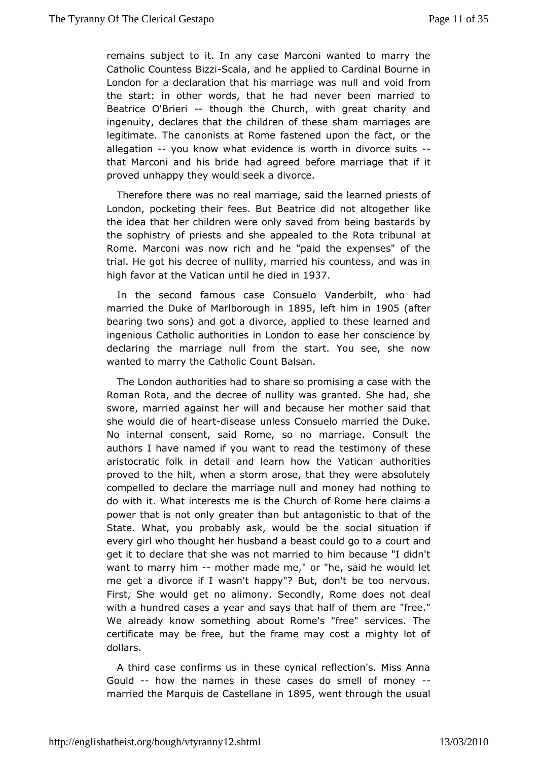remains subject to any case Marconi wanted to marry the Catholic Countes & cBailzazi amed applied to Cardinal Bourne in London for a declaration that his manulriangel woods from the start: in other words, that he had never been married Beatrice O'Briethiough the Church, with great charity and ingenuitoy eclares that the children of these sham marriages a legitimate. The camanine fastened upon the fact, or the allegation you know what evide where his in divorce - suits that Marconi and his bride had agreed befforeifmiarriage proved unhappy they would seek a divorce.

Therefore there was almarriage, said the learned priests of London, pocketing their feeestribetdid not altogether like the idea that her children were only estage to das framed show the sophistry of priests and she appealed to ahe Rota tribur Rome. Marconi was now rich and he "paid the expenses" of trial. He **giost** decree of nullity, married his countess, and was high favor at Vahtecan until he dieed in

In the second famous case Comsered bit, who had married the Duke of Marlbdr&&Gdleftnhim 1i9805(after bearing two sons) and got a divorce, applied to these learne ingenious Catholic authorities in London to ease her conscie declaring the marriage null from the start. You see, she now wanted to marry the CCactun of iBalsan.

The London authorities had to share so promtihseing a case with Roman Rota, and the decree of nullity was granted. She had sworemarried against her will and because her mother said t she would dibeat disease unless Consuelo married the Duke. No internal consent, said oRomemarriage. Consult the authors I have named if you want the strimentic only the fthese aristocratic folk in detail and learn hoawuthhoeit Veastican proved to the hilt, when a storm arose, that they were absol compelled to declare the marriage null and money had nothir do with it. Whatests me is the Church of Rome here claims a power that is not onlythamabant antagonistic to that of the State. What, you probably ask, wosuolodiable sitthue ation if every girl who thought her husband a beasoucrotual didgo to a get it to declare that she was not married to him because "I want to marry -him other made me," or "he, said he would let me get a divofcle wasn't happy"? But, don't be too nervous. First, She would get no Saeiomoondyly, Rome does not deal with a hundred cases a year and say set maar healf ree." We already know something about Rome's "free" services. certificate may be free, but the frame may cost a mighty Ic dollars.

A third case confirms us in these cynical reflection's. Miss Gould-how theames in these cases do smell--of money married the Marquis de Casit&9 5avneen inthrough the usual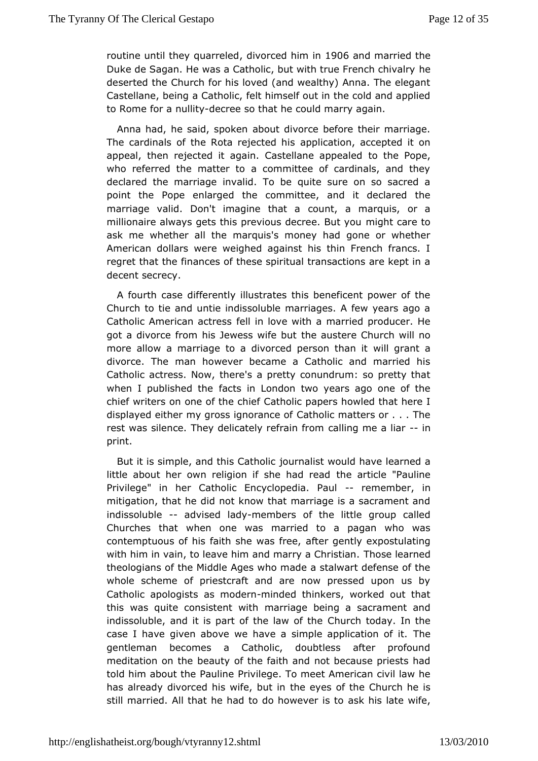routine until they qualive head him 1900  $6$ and married the Duke de Sagan. He was a Catholic, but with true French chival deserted the Church for his loved (and wealthy) Anna. The el Castellabeing a Catholic, felt himself out in the cold and app to Rome forrualitovecree so that he could marry again.

Anna had, he said, about molivorce before their marriage. The cardinals of the Rota reajpepothiecdathois, accepted it on appeal, then rejected it again. CasteltloanteheapPopeaeled who referred the matter to a committee of cardinals, and t declared the marriage invalid. To be quite sure on so sacr point the Poemearged the committee, and it declared the marriage valid. Don't imagin couthiat a marquis, or a millionaire always gets this previous dreigarhete caBruet typou ask me whether all the marquis's money had gone or whet American dollars were weighed against his thin French fran regret that fulmences of these spiritual transactions are kept in decent secrecy.

A fourth case differently illustrates this beneficent power of Church to atmed untie indissoluble marriages. A few years ago Catholic American actiressiove with a married producer. He got a divorce from his Jewesthew aftes beurte Church will no more allow a marriage to a divorced pweirls omerahiana it divorce. The man however became a Catholic and married Catholactress. Now, there's a pretty conundrum: so pretty th when I published athe in London two years ago one of the chief writers on one of Chathol hive fpapers howled that here I displayed either my gross ig $@$  atholic matters or  $\ldots$  . The rest was silence. They delicately candifimagin me camiliar print.

But it is simple, and this oCentabisit would have learned a little about her own religion if shee haardicleead Pauline Privilege" in her Catholic Encyclopedimeem Bauh mitigation, that he did not know that marriage is a sacrament indissolubleadvised landeymbers of the little group called Churches thwahten one was married to a pagan who was contemptuous of his faith sheafwears genelly expostulating with him in vain, to leave him and marThoses  $E$  heiss rtnied. theologians of the Middle Ages who made a stalwart defense whole scheme of priestcraft and are now pressed upon us Catholic apoloagis inso deminded thinkers, worked out that this was quite consistemar with the being a sacrament and indissoluble, and it is part of th $\mathbb G$ huaw hoffodhaey. In the case I have given above we have a simple alphelication of it. gentleman becomes a Catholic, doubtless after profou meditation onbehauty of the faith and not because priests had told him about the Pauline ge. To meet American civil law he has already divorced his wifiee, downetsinof the Church he is still married. All that he had to do ahso kw be veriats et wife,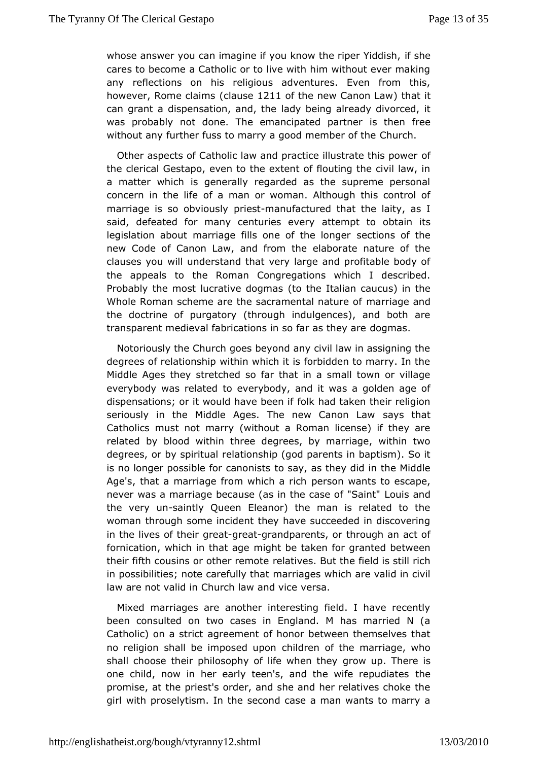whose answer you can imagine if you know tiffeshioer Yiddish, cares to become a Catholic or to live with him without ever m any reflections on his religious adventures. Even from th however. Rome claalianuss (e211 of the new Canon that with can grant a dispensation, laachyd, behing already divorced, it was probably not done. The emancipasted hopmar free of without any further fuss to marry a good Comeum oble.r of the

Other aspects of Catholic law and practice ilbustrate this po the clerical Gestapo, even to the extent of flouting the civil a matter which is generally regarded as the supreme perso concern in the oflife man or woman. Although this control of marriage is so obvpious by anufactured that the laity, as I said, defeated for many centuaite ementery obtain its legislation about marriage fills one scefcttihoensloonfgethe new Code of Canon Law, and from the elaborate nature of clauses you will understand that very large and profitable body the appeatlos the Roman Congregations which I described. Probably the most lucrative to doto malusalian caucus) in the Whole Roman scheme are the sacramentaan inaagteuraen of the doctrine of purgatory (through indulgences), and both transparent medieval fabrications in sodtegrmas.they are

Notoriously the Church goes beyond any civil law in assigning degrees of relationship within which it is forbidden to marry. MiddlAges they stretched so far that in a small town or vill everybody was retloated erybody, and it was a golden age of dispensations; or it would haw be the each taken their religion seriously in the Middle Ages. The newsa $\mathcal G$  anthrat Law Catholics must not marry (without a Roman license) if they relatedy blood within three degrees, by marriage, within tw degrees, or by sprical adnship (god parents in baptism). So it is no longer possible fortoasnaoyn, is satus they did in the Middle Age's, that a marriage from wheer's can rive that it of escape, never was a marriage because (as in the Loause and Saint" the very -samintly Queen Eleanor) the man is related to the womanthrough some incident they have succeeded in discover in the lives of gthe exigreat grandparents, or through an act of fornication, which in the hight be taken for granted between their fifth cousins or otheelatimese But the field is still rich in possibilities; note carmenfaurlhiya gheat which are valid in civil law are not valid in Church lawraad vice

Mixed marriages are another interesting field. I have rece beenconsulted on two cases in England. M has married N Catholic) on a  $\arg r$  beed ment of honor between themselves that no religion shall be imposed dupon of the marriage, who shall choose their philosophy of ligfeowheem. the gre is one child, now in her early teen's, and the thwefe repudiates promise, at the priest's order, and she and her relatives cho gir with proselytism. In the second case a man wants to marr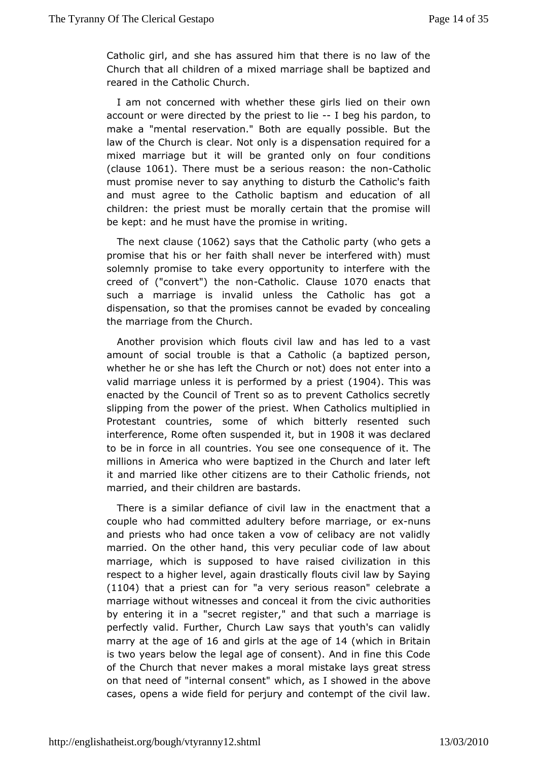Catholic girl, shaped has assured him that there is no law of the Church that all child mein endf maarriage shall be baptized and reared in the Catholic Church.

I amnot concerned with whether these girls lied on their o account or wderected by the priest Itbeldehis pardon, to make a "menteasdervation." Both are equally possible. But the law of the Church is cbenaly indicat dispensation required for a  $mixed$  marriage but it will be gramted up nd poditions  $(clauses06)$ . There must be a serious the as  $0$ atholic must promise never to say anything to disturb the Catholic's and must agree to the Catholic baptism and education of children: the pmilessit be morally certain that the promise will be kept: and he must hancemibe in writing.

The next cla( $0.62$  says that the Catholi(who arguets a promise that his or her faith shall never be interfered with) solemnly promise to take every opportunity to interfere with creed qfconvert") the Cracholic lause 070 enacts that such a marriage is iunvlaelsd the Catholic has got a dispensation, so that the promises acchaend by bosoncealing the marriage from the Church.

Another provision flochits civil law and has led to a vast amount of social trouble is atthatica (a baptized person, whether he or she has left the Church od remote) dootex a valid marriage unless it is performe d9by4. Thiswast enacted by the Council of Trent so as to prevent Catholics se slippingom the power of the priest. When Catholics multiplied Protestant countsionse of which bitterly resented such interference, Rome often suspeimde 30 8it, was declared to be in force in all countries. You see confeitco his equence millions in America who were baptized in the Church and late itand married like other citizens are to their Catholic friend married, atheir children are bastards.

There is a similar defiance of the eviden lax and minent that a couple who had committed adultery before x mansiage, or and priests who had once taken a vow of celibacy are not valid married. On the other hand, this very peculiar code of law  $\epsilon$ marriage, which supposed to have raised civilization in this respect to a higher levdend a satigraathly flouts civil law by Saying  $(1104)$  that a priest ca'a for  $s$  erious reason" celebrate a marriage without witnesses and conceavict authorities by entering it in a "secret register," amdarthianoges uissh a perfectly valid. Further, Church Law says that youth's can v marry at the ade6 annid girls at the  $a \oplus b$  for  $b$  in Britain is two yebedow the legal age of consent). And in fine this Co of the Church that meek ees a moral mistake lays great stress on that need of "internal wchoins he mats" I showed in the above cases, opens a wide field for poerriemy parod the civil law.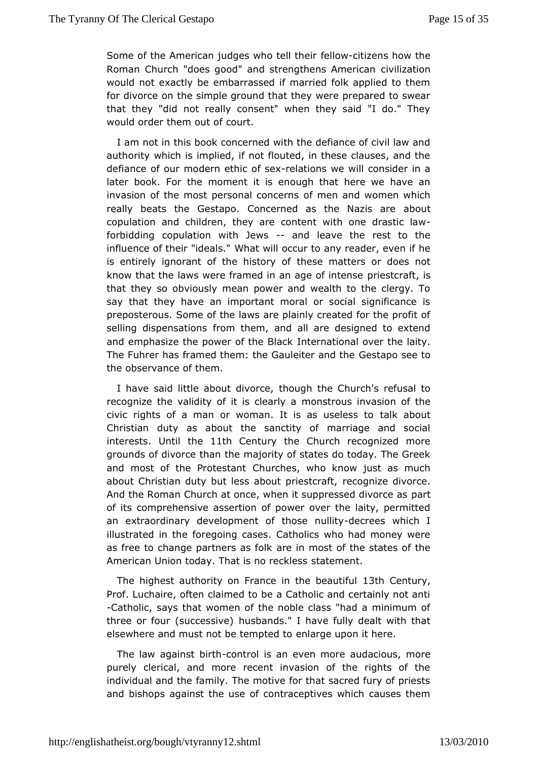Some of the American judges whiel the whittitations how the Roman Church "does good" and strengtheeins ali American would not exactly be embarrassed if married folk applied to for divorce on the simple ground that they were prepared to s that they "did really consent" when they said "I do." They would order them countrof

I am not in this book concerned with the defiance of civil la authority which is implied, if not flouted, in these clauses, a defiance our modern ethic refasieoxns we will consider in a later book. Fom the meent it is enough that here we have an invasion of the most personad fcome ceems women which really beats the Gestapo. Concerned as aboundazis are copulation and children, they are content with one drastic forbidding pulation with Jeavs alleave the rest to the influence of their "Wheant swill occur to any reader, even if he is entirely ignorant of the thistoery matters or does not know that the laws were framed in an  $\boldsymbol{p}$  giee soff crite, nisse that they so obviously mean power and wealth to the clergy say that they have an important moral or social significane preposteroSsome of the laws are plainly created for the profit selling dispensation msthem, and all are designed to extend and emphasize the power of the rB a a coknal over the laity. The Fuhrer has framed them: the GauGeeiste apeonsieteneto the observance of them.

I have said little about though the Church's refusal to recognize the validity of it imsonlectanolys ainvasion of the civic rights of a man or woman. It is tassikusabloeusts to Christian duty as about the sanctity of marriage and so interestbntil the1th Century the Church recognized more grounds of divolace the majority of states do today. The Greek and most of the Prot@hstanthes, who know just as much about Christian duty but less abourte por igensitzceradity orce. And the Roman Church at once, when it suppressed divorce as of its comprehensive assertion of power over the laity, perm an extraordinary development of thobes or ensulity thich I illustrated infothe going cases. Catholics who had money were as free to change partners easinfor host of the states of the American Union today. That is statement hess

The highest authority on France in the beauturify . Prof. Luchaire, often claimed to be a Catholic and certainly n -Catholis: ays that women of the noble class "had a minimum of three or four (successioven) ds." I have fully dealt with that elsewhere and must not be tempated to top on it here.

The law against choint thol is an even aunot bare ious, more purely clerical, and more recent invasion of the rights of individual and the family. The motive for that sacred fury of  $\mathfrak p$ andbishops against the use of contraceptives which causes t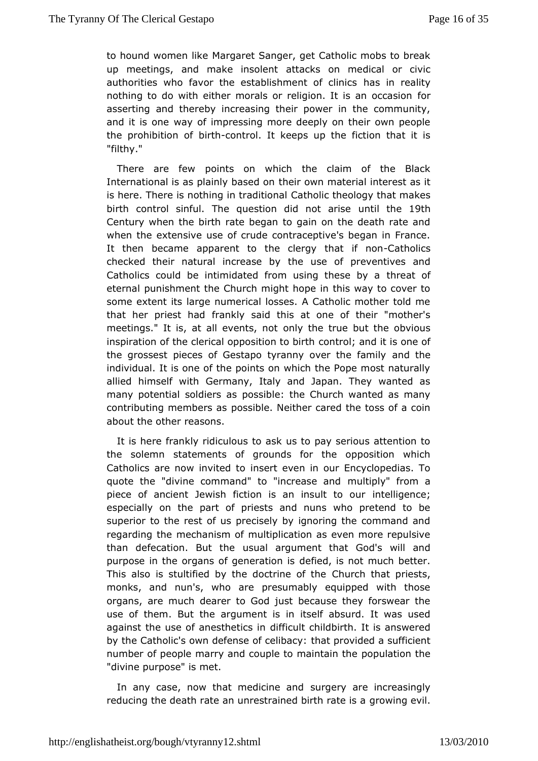to hound women Mlakearet Sanger, get Catholic mobs to break up meetings, and make iantstalcekrist on medical or civic authorities who favor the establishment of climinics nothing to do with either morals or religion, flatris an occasion asserting and thereby increasing their power in the commul and it is ownaay of impressing more deeply on their own people the prohibitiobird-control. It keeps up the fiction that it is "filthy."

There are fowints on which the claim of the Black International is as plainly hoegis end wommaterial interest as it is here. There is nothing inCtartholiontheology that makes birth control sinful. The question duid tihoth teethise Century when the birth rate began to gain on the death rate when the extensive use of crude contraceptive's began in Fr It then became parent to the clergy thad a infonions checked their natural increases bey of preventives and Catholics could be intimidated from using retate scef by a eternal punishment the Church might hope in this way to cov someextent its large numerical losses. A Catholic mother told that her priest fine and kly said this at one of their "mother's meetings." It is, at all eveenthys, the other the obvious inspiration of the clerical opposcionation to binathit is one of the grossest pieces of Gestapo tyranny caved tthe family individual. It is one of the points on which the Pope most nat allied himself with Germany, Italy and Japan. They wantec many potentical diers as possible: the Church wanted as many contributing membors saishle. Neither cared the toss of a coin about the other reasons.

It ishere frankly ridiculous to ask us to pay serious attention the solemantatements of grounds for the opposition which Catholics are now invintseed tteven in our Encyclopedias. To quote the "divine command" to "inmoud aispely" anfortom a piece of ancient Jewish fiction is anintesluigence equr especially on the part of priests and nuns who pretend to superior to the rest of us precisely by ignoring the command regarding the echanism of multiplication as even more repulsive than defecation. Butsuthe argument that God's will and purpose in the organs of gedefaction is snot much better. This also is stultified by the do Cthure hofhaltepriests, monks, and nun's, who are presumably equipped with tho organs, are much dearer to God just because they forswear use of them. thet argument is in itself absurd. It was used against the use of anesthet flicts ltinchild birth. It is answered by the Catholic's own defense tohfat phiobraicolyed a sufficient number of people marry and couple top onpaintation the beam of people marry and couple top onpaint the population "divine purpose" is met.

In any case, now that medissum geay dare increasingly reducing the death rate an unrestrained probiwring raeteilis a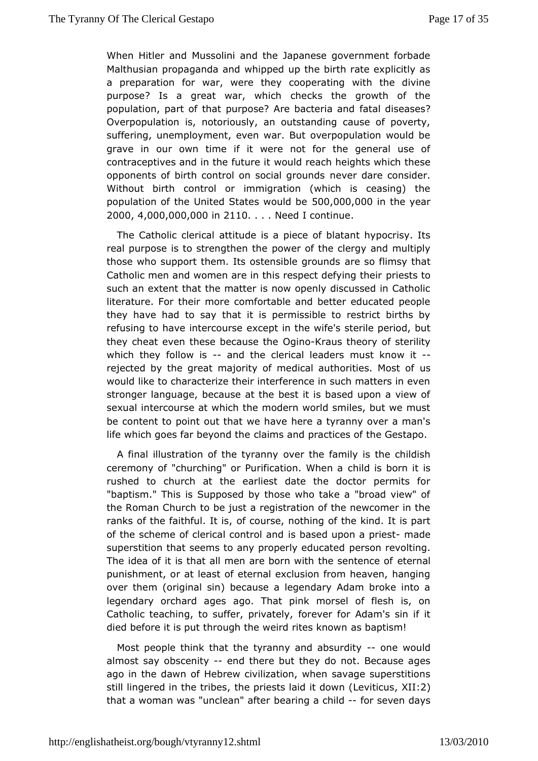When Hitler and Mussolini and the Japanese government for Malthusian propaganda and whipped up the birth rate explicit a preparatifoon war, were they cooperating with the divine purpose? Is a great war, checks the growth of the population, part of that purpose? Arefabattebirseases? Overpopulation is, notoriously, an outstanding cause of pov suffering, unemployment, even war. But overpopulation would grave in our biwme if it were not for the general use of contraceptives and in the would reeistch heights which these opponents of birth control on sonealegromanned sconsider. Without birth control or immigration (which is ceasing) population of the United State 500,000 d, be the year 20004, 000, 000, 000 0110. . Need I continue

The Catholic clættiid able is a piece of blatant hypocrisy. Its real purpose is to strengotchween the the clergy and multiply those who support them. Its ostensable esgorofluimds and that Catholic men and women are in this respectiedset by it mog their such an extent that the matter is now openly discussed in Ca literature. For their more comfortable and better educated p they have had say that it is permissible to restrict births b refusing to have inteexoupsein the wife's sterile period, but they cheat even these becausine Kraus theory of sterility which they follow and the clerical lenauds ersk now- $\pm t$ rejected by the great majority of medical auths rities. Most would like to characterize their interference in such matters i stronger language, because at the best it is based upon a vi sexuahtercourse at which the modern world smiles, but we must be content to pointhat we have here a tyranny over a man's life which goes far bey banid m sheend practices of the Gestapo.

A final illustration of the veyrrahey family is the childish ceremony of "churching" or Purificatholnd. No hibeon ra it is rushed to church at the earliest date the doctor permits "baptism." This is Supposed by those who take a "broad view the Roman Chuoche just a registration of the newcomer in the ranks of the faithfudf btousse, nothing of the kind. It is part of the scheme of clerical ciosn brande adnuipon a-prraedset superstition that seems to any proppelly send unearted ding. The idea of it is that all men are born withettehren as lentence of punishment, or at least of eternal exclusion from heaven, ha overthem (original sin) because a legendary Adam broke into legendary orchard agoes That pink morsel of flesh is, on Catholic teaching, to suffer fopreiweant efloyr, Adam's sin if it died before it is put through the weiad biapsism own

Most people think that the tyranny and næb sworddlidly almost say obsceneining there but they do not. Because ages ago in the dawm Hebrew civilization, when savage superstition still lingered in the the ipeise, sts laid it Lebowithic, UXSII:2) that a woman was "uncle**be**" araftgera chiflodr seven days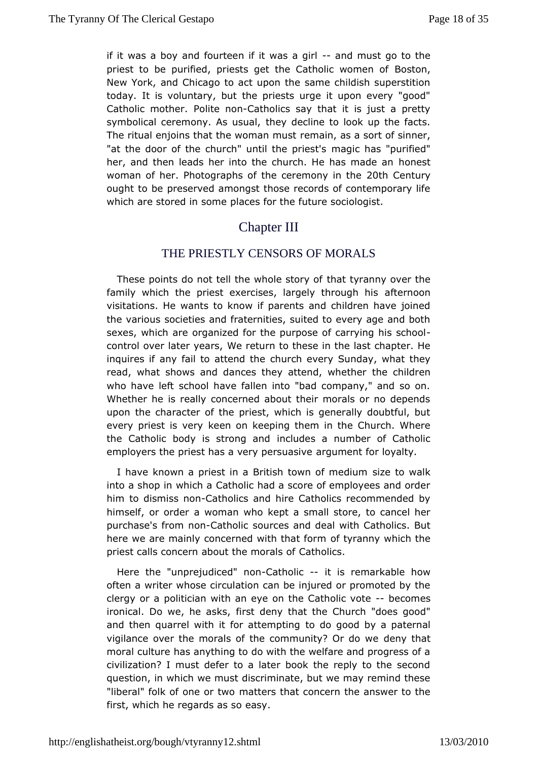if it was a boy and fourteen if  $i$ t awads maustirbo to the priest to be purified, priests get the Cathositon myomen of New York, and Chicago to act upon the same childish supers todaylt is voluntary, but the priests urge it upon every "god Catholic mot **P**olite nontholics say that it is just a pretty symbolical ceremony. At they suded cline to look up the facts. The ritual enjoins that the wommanim uss a sort of sinner, "at the door of the church" untilmtameicorhiest'" spurified" her, and then leads her into the church. Heomest made an woman of helhotographs of the ceremologihin Celmeury ought to preeserved amongst those records of contemporary lif which are stored im some for the future sociologist.

## Chapter III

#### THE PRIESTLY CENSORS OF MORALS

These points do not tell the whtchlæt stypray now over the family which the priest exercises, larged ftethromoungh his visitations. He wants to know if parents and children have i thevarious societies and fraternities, suited to every age and sexes, whace organized for the purpose of carr-ying his school control over later Weamsturn to these in the last chapter. He inquires if any fail to a**tteund htheevery Sunday**, what they read, what shows and dances they atterhed, chwinhet the r who have left school have fallen into "bad company," and  $s$ Whether he is really concerned about their morals or no dep upon thoeharacter of the priest, which is generally doubtful, every priest is keemy on keeping them in the Church. Where the Catholic body is stronoguded a number of Catholic employers the priest has a very apopursmue ansit for loyalty.

I have known a priest in a British towsnizeoftom ewobilukm into a shop in which a Catholic had a score of employees and him to dismiss Cmadholics and hire Catholics recommended by himself, or oadwoman who kept a small store, to cancel her purchase's from Catholsources and deal with Catholics. But here we are mainly concerned with the anthorm which the priest calls concern about th@ amhorbicss.of

Here the "unprejudice Cd athologies it is remarkable how often a writer whose circulation can be injured or promoted b clergy or poalitician with an eye on the Catholock commente ironical. Do we, hefinesstksd, eny that the Church "does good" and then quarrel with it for atted rop gionond by a paternal vigilance over the morals of the commundery? Or ado we moral culture has anything to do with the welfare and progres civilization? I must defer to a later book the reply to the s question, wimich we must discriminate, but we may remind these "liberal" folk of onemattews that concern the answer to the first, which he regards says so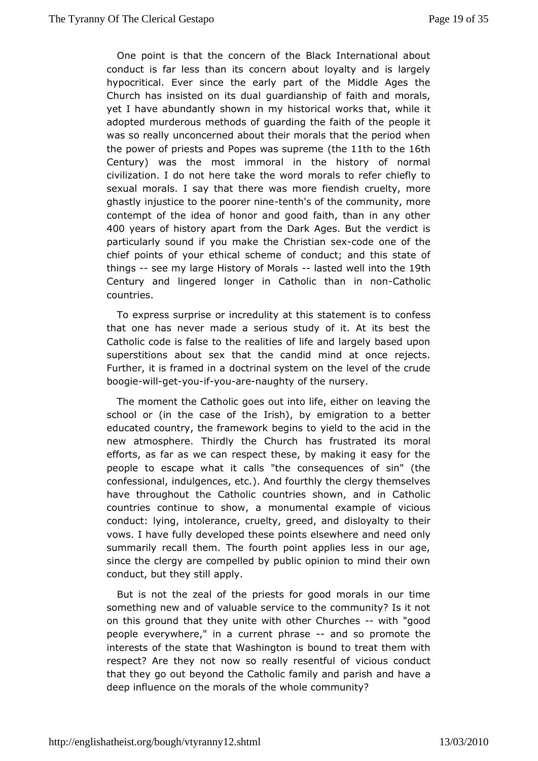One point is that the concern of the Black International a conduct is far less than its concern about loyalty and is  $16$ hypocritic Euver since the early part of the Middle Ages the Church has insisted on giutard up and hip of faith and morals, yet I have abundantly shown in mwyohkstohiactal while it adopted murderous methods of guarding the opdethit of the was so really unconcerned about their morals that the period thepower of priests and Popes watch suppremethent heath Century) was the most immoral in the history of normal civilization. I do not here takmeorhaes word efer chiefly to sexual morals. I say that there was monounreltiviemmolois**e** ghastly injustice to the  $p$ -deneh's ine the community, contempt of the idea of honor and good faith, than in any c 400 years f history apart from the Dark Ages. But the verdict particularly souynod imfake the Christicand sexne of the chief points of your ethicalf  $sc{a}$  and this state of things-see my large History of Mostawhsell into 19th and 19th Century and lingered longer in Catholic Catheanlicin non countries.

To express surprise or incredulity at this contates ment is to that one has never made a serious study of it. At its best Catholic code is false to the realities of life and largely based superstitioanbsout sex that the candid mind at once rejects. Further, it is framed citminal system on the level of the crude boogiwill getyouifyou arenaughty of the nursery.

The moment Chatholic goes out into life, either on leaving the school or (in the caselrosh) heby emigration to a better educated country, the framework ideledgit mosthe acid in the new atmosphere. Thirdly the Church has minous atrated its efforts, as far as we can respect these, by making it easy for peopleo escape what it calls "the consequences of sin" (t confession ad, ulgences, etc.). And fourthly the clergy themselv have throughout Caltesolic countries shown, and in Catholic countries continue to som owy mantal example of vicious conduct: lying, intolerance, crueltyd, isd beyend ty at rod their vows. I have fully developed these points elsoenwhere and need summarily recall them. The fourth point applies less in our since the bergy are compelled by public opinion to mind their o conduct, but the appotional

But is not the zeal of the priests for good morals in our something new and of valuable service to the community? Is i on this grouthmadt they unite with other Ghwithh "ecsood people everywhere, curreat phrasand so promote the interests of the state that Wabsohuim out to a tseat them with respect? Are they not now so really inceesent found fuct that they go out beyond the Catholic family and parish and h deep influence on the morals of the whole community?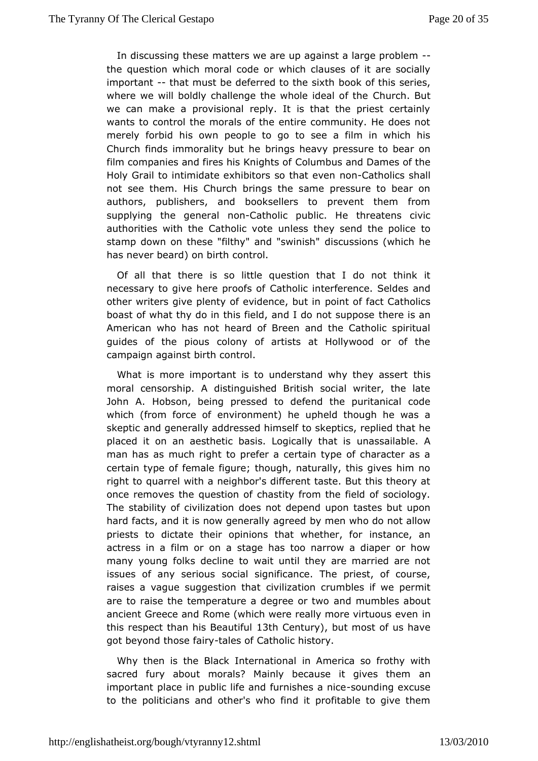In discussing the asters we are up against a large problem the question which moral which clrauses of it are socially important that must be deferred to bibe ksixth his series, where we will boldly challenge the who  $Q$  of underthal Buitthe we can make a provisional reply. It is that the priest cert wants to control the morals of the entire community. He does merely forbhiids own people to go to see a film in which his Church finds immorality brings he bavy pressure to bear on film companies and fires his Chomion hat so and Dames of the Holy Grail to intimidate exhibitors nson Ctatholo eives nshall not see them. His Church brings the same pressure to bea authors, publishers, and booksellers to prevent them fr supplying the genen&latholic public. He threatens civic authorities with the Cathomile sysotte ey send the police to stamp down on these "filthy" and is swissing his (which he has never beard) on birth control.

Of all that thereo little question that I do not think it necessary to give here Cractohicsliofinterference. Seldes and other writers give plenty of evidgeonioned, objuitaint Catholics boast of what thy do in this field, and It the reoits samppose American who has not heard of Breen and the Catholic spir guides of the pious colony of artists at Hollywood or of the campaign agabinsth control.

What is more important is to understand wthy sthey assert moral censorship. A distinguished British social writer, the John AHobson, being pressed to defend the puritanical cod which (from forceenvoifonment) he upheld though he was a skeptic and generally addressed the posits of, replied that he placed it on an aesthetic basis. Loguincanal syait ha ble is A man has as much right to prefer a certain type of character certain type of female figure; though, naturally, this gives h right topuarrel with a neighbor's different taste. But this theor once removes quines tion of chastity from the field of sociology The stability of cividiozeatimont depend upon tastes but upon hard facts, and it is now genebay I my eang we head do not allow priests to dictate their opinions that in wshia hhoes, and or actress in a film or on a stage has too narrow a diaper or manyyoung folks decline to wait until they are married are issues of any sesroiousal significance. The priest, of course, raises a vague suggest *i*onilithation crumbles if we permit are to raise the temperature a deggmete mount bules about ancient Greece and Rome (which were really miche virtuous ev this respect than his  $B \circledast$  and  $C$  full  $\psi$ ,  $\psi$  ut most of us have got beyonhdose fairly es of Catholic history.

Why then is the Black InteinnaAtimoenraica so frothy with sacred fury about morals? Mainly because and gives them important place in public life and fusron ushed agaenxiccuese to thepoliticians and other's who find it profitable to give them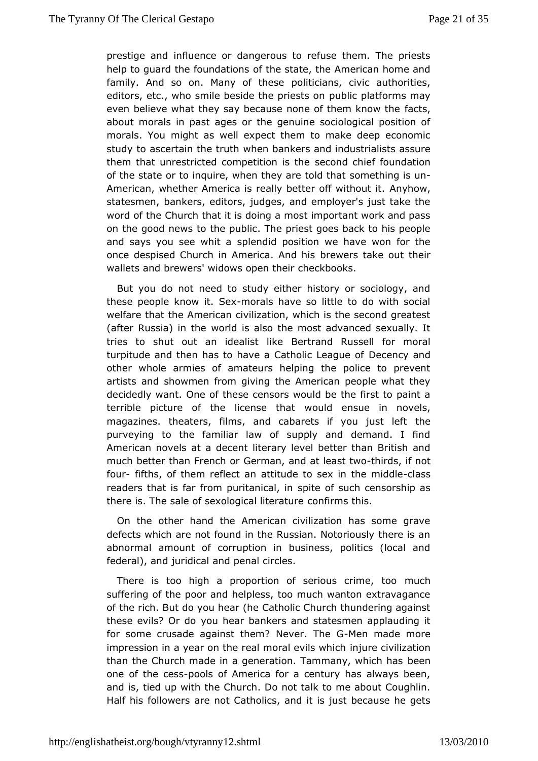prestige aimdluence or dangerous to refuse them. The priest help to guard the founodatthenstate, the American home and family. And so on. Many **oblities** ans, civic authorities, editors, etc., who smile beside the abditentation as may even believe what they say because none offatchtesm know the about morals in past ages or the genuine sociological posit moralsYou might as well expect them to make deep economi study to ascertain the hemuthankers and industrialists assure them that unrestricted competistectoring the set foundation of the state or to inquire, when theys came thold that un American, whether America is really betteAngthowithout it. statesmen, bankers, editors, judges, and employer's just tak wordof the Church that it is doing a most important work and  $r$ on the good ntowtshe public. The priest goes back to his peopl and says you see whitenadid position we have won for the once despised Church in Ameribae werd hake out their wallets and brewers' widows conceach the kns.

But you do not need to study either history or sociology, these people know -morsales have so little to do with social welfare that American civilization, which is the second greate (after Russia) iwo the is also the most advanced sexually. It tries to shut out an ideaBiesnttrainkole Russell for moral turpitude and then has to have a CathDbiceheggamedof other whole armies of amateurs helping the police to prev artistand showmen from giving the American people what the decidedly want. Ohesef censors would be the first to paint a terrible picture of the licewould that sue in novels, magazines. theaters, films, and cabarets itheou just left purveying to the familiar law of supply and demand. I f American novaels decent literary level better than British and much better than FreGneemman, and at leatshtirtowso, if not fourfifths, of them reflætotttaande to sex in the chnaisdsdle readers that is far from purist paint ecalf, sinch censorship as there is. The sale of sexological hiters tuhis.

On the other hand the American civilization has some gr defects which are not found in the Russian. Notoriously there abnormal mount of corruption in business, politics (local and federal), and juraindicate hal circles.

There is too high a proportion of seriomsucurime, too suffering of the poor and helpless, too much wanton extravag of theich. But do you hear (he Catholic Church thundering aga these evils? Oyroud chear bankers and statesmen applauding it for some crusade agains Netwheerm? The MG n made more impression in a year on the real monial ueveil siwihizzahtion than the Church made in a generation. Tammbæneyn, which has one of the cpeososis of America for a century has always been, and is, jed up with the Church. Do not talk to me about Cough! Half his folloaw ersnot Catholics, and it is just because he get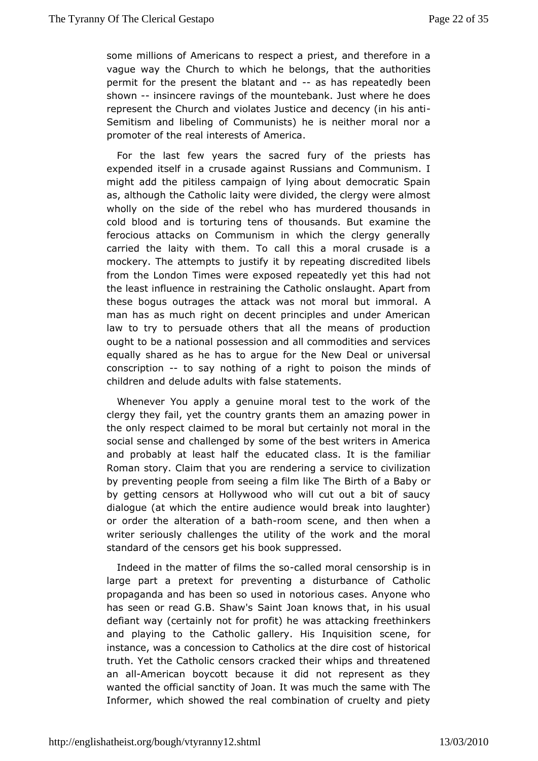some millions of Americansectoa priest, and therefore in a vague way the Church to which he abelong authorities permit for the present the blatans than sache peathered of  $p$ shown-insincere ravings of the mountebank. Just where he do represente Church and violates Justice and decency (in his a Semitism and liboefli $G\phi$  mmunists) he is neither moral nor a promoter of the real int&meesitisc a.f

For the last few years the sacred fury of the priests expended itself in a crusade against Russians and Communis  $m$ ight add the pitiless campaign of lying about democratic Spain as, although the Claith plice redivided, the clergy were almost wholly on the side of the rheabselm wundered thousands in cold blood and is torturing tens of theoxuasmaimdes.thBeut ferocious attacks on Communism in which the clergy gener carriedhe laity with them. To call this a moral crusade is mockery. The attemput stiff of it by repeating discredited libels from the London Times were expxepaxtseeddy yet this had not the least influence in restraining the ba Coalthol Mipart from these bogus outrages the attack was not moral but immoral man has as much right on decent principles and under Amer law to tryptoersuade others that all the means of production ought to be a napicos results and all commodities and services equally shared as he has for a migunew Deal or universal conscription o say nothing of a roophston the minds of children and delude adults swath  $m$  and  $s$ .

Whenever You apply a genuine moral test to the work of clergy they fail, yet the country grants them an amazing pow the onlespect claimed to be moral but certainly not moral in social sensechallenged by some of the best writers in America and probably at least ballfcahed class. It is the familiar Roman story. Claim that you are seme deeing aivilization by preventing people from seeing a filmofliake BaThe GBnirth by getting censors at Hollywood who will cut out a bit of s dialogue (at which the entire audience would break into laughter or order tahleteration of a-rbath scene, and then when a writer seriously challenuot bety thosef the work and the moral standard of the censors gestulpips bosockd.

Indeed in the matter of films the moral censios risinip large part a pretext for preventing a disturbance of Cath propagandad has been so used in notorious cases. Anyone wh has seen or read G.B. S& hratw Jspan knows that, in his usual defiant way (certainly not for psoatth) a heing freethinkers and playing to the Catholic gallery. Hsissen aquisition instance, was a concession to Catholics altisheriddiale cost of truth. Yet the Catholic censors cracked their whips and threatened an all American boycott because it did not represent as the wanted the of siachality of Joan. It was much the same with The Informer, which showed doben brien aaltion of cruelty and piety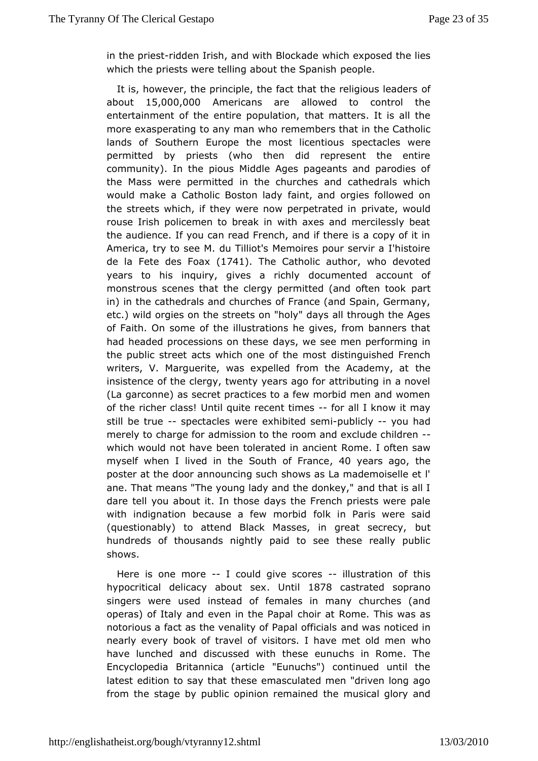in the priessaltden Irish, and with Boylhoicckhade eposed the lies which the priests were telling about the  $\mathcal S$  panish

It is, however, the principle, the fact that the freligious lead about 15,000,000A mericans are allowed to control the entertainment of the population, that matters. It is all the more exasperating to any meanne who ers that in the Catholic lands of Southern Europe the mosstpeicatentriieosus were permitted by priests (who then did represent the enti community). In the pious Middle Ages pageants and parodie the Mass weermitted in the churches and cathedrals which would make a Catholic Bostaomt, laadryd orgies followed on the streets which, if they were now pperipreteatewooluind rouse Irish policemen to break in with axes and mercilessly the audience. If you can read French, and if there is a copy Americar, y to see M. du Tilliot's Memoires pour servir a l'hist de la Fete des (FT 04). The Catholic auwthour devoted years to his inquiry, gives dacument wed account of monstrous scenes that the clergy permitted  $\beta$  and often took in) in the cathedrals and churches of France (and Spain, Ger etc.)wild orgies on the streets on "holy" days all through the of Faith. On soofmt the illustrations he gives, from banners that had headed processions do any shewse see men performing in the public street acts which one doistingums cheed French writers, V. Marguerite, was expelled from the Academy, at insistence of the clergy, twenty years ago for attributing in a (Lagarconne) as secret practices to a few morbid men and women of the richer dlasis! quite recent-tfonesall I know it may still be truspectaclesre exhibited-psuebmlicly you had merely to charge for admissricommtoant deexclude children which would not have been tolerateRobmine.ahcoifetnetin saw  $m$  y self when I lived in the South 40 fy  $F$  a as caequione poster at the door announcing such shows as  $La$  mademoiselle ane. Thaneans "The young lady and the donkey," and that is all dare tell you abdutthtose days the French priests were pale with indignation because a few km on b Pdaris were said  $(questionably)$  to attend Black Masses, in bauteat secrecy, hundreds of thousands nightly paid to see these really pr shows.

Here is one molecould give sconelaustration of this hypocritical delicacy abount is  $8\overline{x}$  8 castrated soprano singers were usedead of females in many churches (and operas) of Italy and even inch hoer Paatp Rome. This was as notorious a fact as the venality of aPhado awla of finctiadesd in nearly every book of travel of visitors. I haw bomet old men have lunched and discussed with these eunuchs in Rome. Encyclope Biraitannica (article "Eunuchs") continued until th latest edition to saly esheatemasculated men "driven long ago from the stage by public opinionheremmuasineed glory and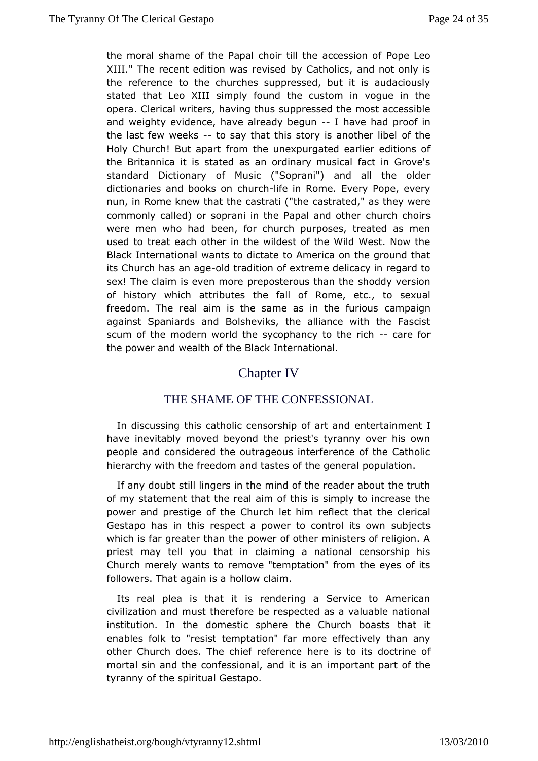the moral shame of the Papal choir till the packession of XIII." The recent edition was revised by Catholics, and not o thereference to the churches suppressed, but it is audacio stated that Leos Knholly found the custom in vogue in the opera. Clerical writers, havion port substant accessible and weighty evidence, have alread wabeguad proof in the last few weethos say that this story is another libel Holy Church! But apart from the unexpurgated earlier editions theBritannica it is stated as an ordinary musical fact in Gro standar@ictionary of Music ("Soprani") and all the olde dictionaries and books rothife in Rome. Every Pope, every nun, in Rome knew that the casarsatria (ethe as they were commonly called) or soprani in the Pachaulroam ochothrosor were men who had been, for church purposes, treated as r used ttareat each other in the wildest of the Wild West. Now Black Internativo and is to dictate to America on the ground that its Church has a on datumedition of extreme delicacy in regard to sex! The claim is evepore moselerous than the shoddy version of history which attributes theomiall edt., to sexual freedom. The real aim is the same as crambaignrious against Spaniards and Bolsheviks, the alliance with the  $F_i$ scum othe modern world the sycophancy-to atrice foirch the power and weahteh Bolfack International.

## Chapter IV

#### THE SHAME OFTHE CONFESSIONAL

In discussing this catholic censors binde of a an mand I have inevitably moved beyond the priest's tyranny over his people and considered the outrageous interference of the Ca hierarchy whitch freedom and tastes of the general population.

If any doubt isniglers in the mind of the reader about the truth of my statement that the reath this is simply to increase the power and prestige of the Churehlet that the clerical Gestapo has in this respect a power to subjectsits own which is far greater than the power of other ministers of relig priest may tell you that in claiming a national censorship his Church merwabynts to remove "temptation" from the eyes of its followers. That again lips was laim.

Its real plea is that it is rendering a Service to Ameri civilization and must therefore be respected as a valuable na institutiolm. the domestic sphere the Church boasts that it enables folk to "treems pstation" far more effectively than any other Church does. The chiefhere eters into the solution of mortal sin and the confessional, imaportants paart of the tyranny of the spiritual Gestapo.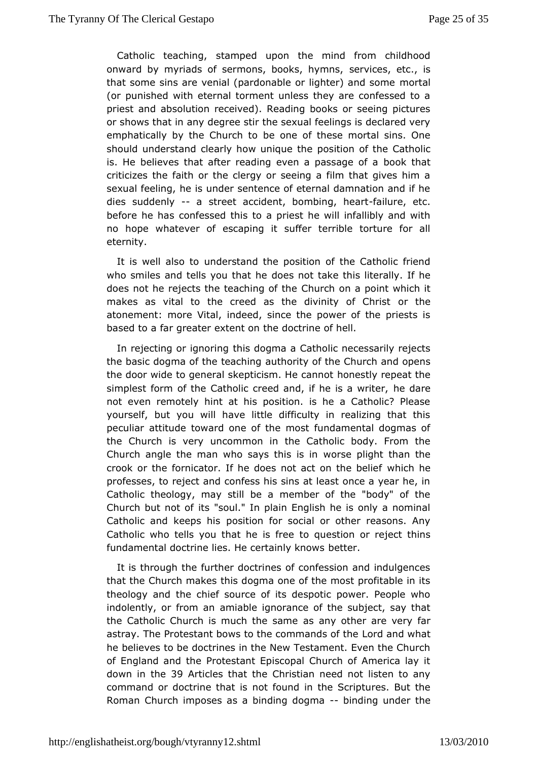Catholic teachsing can bed upon the mind from childhood onward by myriads of sermons, boosles, viloges, n se, tc., is that some sins are venial (pardonable or limphoteta) and some (or punished with eternal torment unless they are confessed priesand absolution received). Reading books or seeing pictu or shows that ideagree stir the sexual feelings is declared very emphatically by the Chous conteo of these mortal sins. One should understand clearly how puonsictument be the Catholic is. He believes that after reading even baoplastshaagte of a criticizes the faith or the clergy or seeing a film that gives sexual feeling, he is under sentence of eternal damnation and diessuddenly-a street accident, bombing, il uneeartetc. before he basfessed this to a priest he will infallibly and wi no hope whatevers conting it suffer terrible torture for all eternity.

It is well alsuonderstand the position of the Catholic friend who smiles and tells you detatn the take this literally. If he does not he rejects the teachim our oblighed point which it makes as vital to the creed as the divinity the Christ atonement: more Vital, indeed, since the power of the pries based to far greater extent on the doctrine of hell.

In rejecting or igh hoimsindopgma a Catholic necessarily rejects the basic dogma of the aeatority of the Church and opens the door wide to general skepticis mondet by a meptat the simplest form of the Catholic creed and, iffehelairse a writer, not even remotely hint at his position. is he a Catholic? P yourself, but you will have little difficulty in realizing tha peculiantitude toward one of the most fundamental dogmas o the Church is wecommon in the Catholic body. From the Church angle the man who say swoths in ight than the crook or the fornicator. If he does not awthich the belief professes, to reject and confess his sins at least once a year Catholic theology, may still be a member of the "body" of Church but natsofsoul." In plain English he is only a nomina Catholic and keeps shits on for social or other reasons. Any Catholic who tells you that the give steen or reject thins fundamental doctrine lies. He certaindy knows

It is through the further doctrines of confession and indulgences that the Church makes this dogma one of the most profitable theology athob chief source of its despotic power. People wh indolently, or from and le ignorance of the subject, say that the Catholic Church is muchatsheansyamother are very far astray. The Protestant bows to the commoranal sdow hat he believes to be doctrines in the New Testament. Even the C of England and the Protestant Episcopal Church of America down in the Articles that the Christian need not listen to an command or doctrine notatios nd in the Scriptures. But the Roman Church imposes as a bindinbgin**dong on a**nder the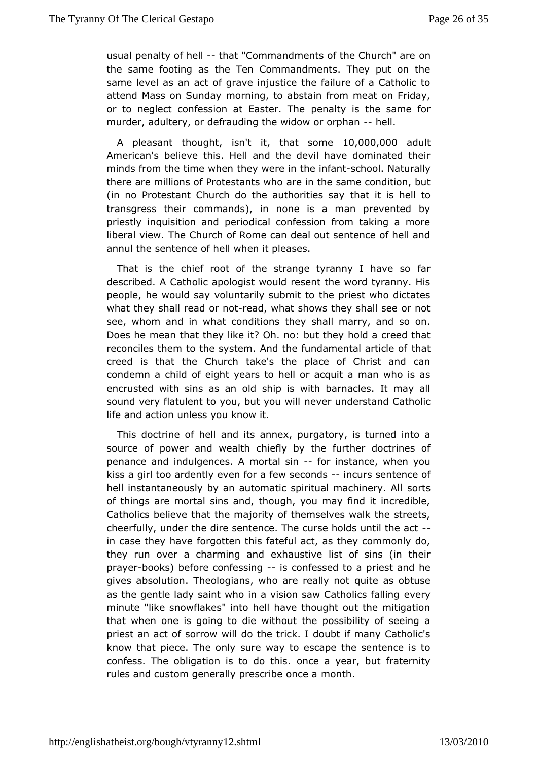usual penalty of-thealt "Commandments of the Chourch" are the same footing as the Ten Commandments. They put on same level aacanof grave injustice the failure of a Catholic t attend Mass on Smnodaving, to abstain from meat on Friday, or to neglect confession at Epaesntetry Tibse the same for murder, adultery, or defrauding the wid-chwelds orphan

A pleasant thoughtht it that som  $60,000,000$  dult Americanbelieve this. Hell and the devil have dominated the minds from the time the elve we re in the  $\cdot$  spot fracturally there are millions of Protestraents wheosame condition, but (in no Protestant Church do the autthoroutities shaeyll to transgress their commands), in none is a man prevented priestly inquisition and periodical confession from taking a liberal viewe Church of Rome can deal out sentence of hell a annul the sentence word fell the heases.

That is the chief root of the strange tyramany I have so described. A Catholic apologist would resent the word tyrann peopleh, e would say voluntarily submit to the priest who dicta what they shallorend tead, what shows they shall see or not see, whom and in what cothewishell marry, and so on. Does he mean that they like it? Oh.hold budrehedy that reconciles them to the system. And the fundat mantal article of creed is that the Church take's the place of Christ and condemn a child ight years to hell or acquit a man who is as encrusted with sins asshaimp oisd with barnacles. It may all sound very flatulent to you, bnuetveouu mydelrstand Catholic life and action unless you know it.

Thisdoctrine of hell and its annex, purgatory, is turned int source of powerwaadth chiefly by the further doctrines of penance and indulgences. A motalnsit ance, when you kiss a girl too ardently even for a-fienwouse csoenndtsence of hell instantaneously by an automatic spiritus or the achinery. All of things are mortal sins and, though, you may find it incred Catholics believe that the majority of themselves walk the st cheerful un, der the dire sentence. The curse holds until the act in case they hangeotten this fateful act, as they commonly do, they run over a charmi**ng haus**tive list of sins (in their prayebooks) before confesising fessed to a priest and he gives absolution. Theologians, who quetere as ily obtuatse as the gentle lady saint who in a vision sawe Ceatholics falling minute "like snowflakes" into hell have thought out the mitig thatwhen one is going to die without the possibility of seeir priest an acstooffow will do the trick. I doubt if many Catholic' know that piece. The uncenly ay to escape the sentence is to confess. The obligation is to oncoleo athy sear, but fraternity rules and custom generally presmonibehonce a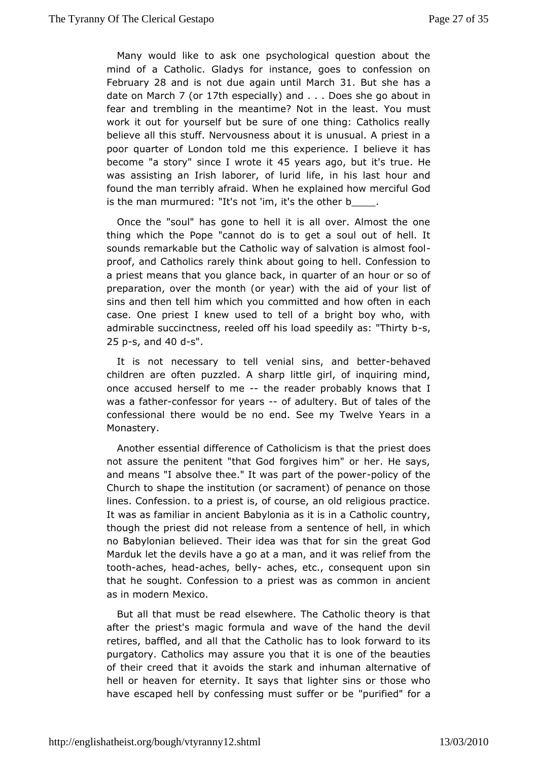Many would like to ask one psychological question about mind oa Catholic. Gladys for instance, goes to confession Februar  $298$  and is nobute again until Matar Bolth she has a date on  $M$ a $\vec{a}$  o  $\phi$   $\vec{a}$  and  $\vec{b}$  and  $\vec{a}$  and  $\vec{b}$  and  $\vec{a}$  . . Does she go about in fear and trembling in the meantime? Not in thue steast. work it out for yourself but be sure of one thing: Catholics believe all this stuff. Nervousness about it is unusual. A prie poorquarter of London told me this experience. I believe it become "a story" se I wrot biggers adout "ist true He was assisting an Irish dabloured, life, in his last hour and found the man terribly afraidex Whae me he how merciful God is the man murmured: "It's not 'im, bt's the other

Once the "soul" has gone to hell it is all over. Almost the thing which the Pope "cannot do is to get a soul out of he soundmemarkable but the Catholic way of salvation is almost f proof, and Cathaliedlsy think about going to hell. Confession to a priest means that yob accllance quarter of an hour or so of preparation, over the month (ortheaa) dwofhyour list of sins and then tell him which you committed nand do move often case. One priest I knew used to tell of a bright boy who, admirabseccinctness, reeled off his load speedsly as: "Thirty 25 p-s, and40d-s".

It is not necessary to tell venial sinsehandd better childreanre often puzzled. A sharp little girl, of inquiring mi once accused heosenle-the reader probably knows that I was a fat-tomenfessor for year fracultery. But of tales of the confessional there would be no end. Seeamsy inwalve Monastery.

Another essential difference of Catholdic psime sits duest not assure the penitent "that God forgives him" or her. He say and means "I absolve thee." It was parp colictyh of poweer Church shape the institution (or sacrament) of penance on the lines. Confessiopriestais, of course, an old religious practice It was as familiar in Baanboyleonntia as it is in a Catholic country, though the priest did not relee as sentence of hell, in which no Babylonian believed. Their idea wahsethgae aftonGodh Marduk let the devils have a go at a man, and the was relief from toothaches, headches, belaghes, etc., consequent upon sin that hesought. Confession to a priest was as common in ancient as in modeMenxico.

But all that must be read elsewhere. The Catholic theory is after the priest's magic formula and wave of the hand the retire saffled, and all that the Catholic has to look forward to purgator@atholics may assure you that it is one of the beauti of their creed that idts the stark and inhuman alternative of hell or heaven for eternity halt lights are sins or those who have escaped hell by confessing mus"tp**suiffied**" of obrea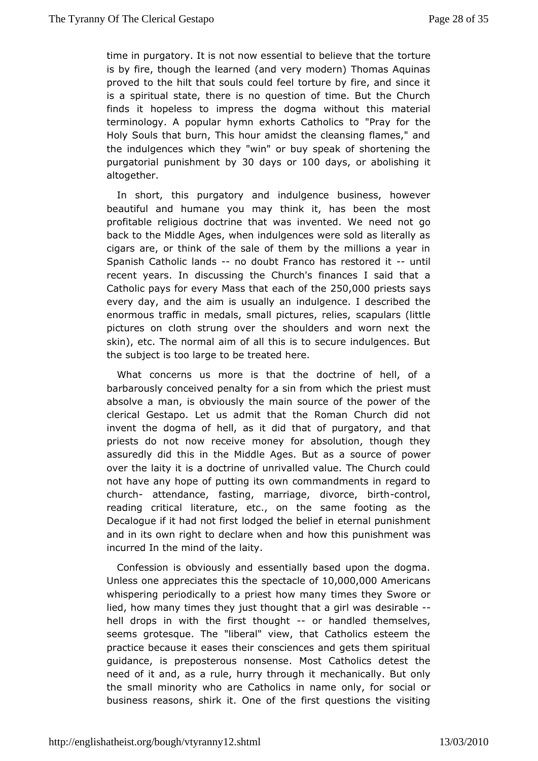time in purgatory. It is not now essential to obvew interesting that the is by fire, though the learned (and very modern) Thomas Aqu provedo the hilt that souls could feel torture by fire, and sin is a spirits that there is no question of time. But the Church finds it hopeless to itheredsosgma without this material terminology. A popular hymn exhorts "Peatyofors thoe Holy Souls that burn, This hour amidst the cleansing flames, the indulgences which they "win" or buy speak of shortening purgatoripaulnishment 3bOydays on 00 days or abolishing it altogether.

In shortt, his purgatory and indulgence business, however beautiful and humane yothimkayit, has been the most profitable religious doctrine that was nienevole nnteed gowle back to the Middle Ages, when indulgences were sold as liter cigars are, or think of the sale of them by the millions a year Spanis Chatholic lands doubt Franco has restouned dlit recent years.dibrcussing the Church's finances I said that a Catholic pays for every  $M$  as that  $\Delta$  60,000 riests says every day, and the aim is ui**sdallg**yemane. I described the enormous traffic in medals, small pistuapeuslarrsel(bistle pictures on cloth strung over the shoulders and worn next skin), etc. The normal aim of all this is to secure indulgence the subjesttoo large to be treated here.

What concerns us more is dlocatrithe of hell, of a barbarously conceived penalty for a sinpirice ration the absolve a man, is obviously the main source of the power o clerical Gestapo. Let us admit that the Roman Church did invent the dogmbaeldf as it did that of purgatory, and that priests do not now receive madorseylutficom, though they assuredly did this in the Middle Ages. Baft pacswear source over the laity it is a doctrine of unrivalled value. The Church not have any hope of putting its own commandments in regar church attendance, fasting, marriage, divondeol, birth reading critictæl rature, etc., on the same footing as the Decalogue if it had hood gfeds the belief in eternal punishment and in its own right to declare owth the misarpolunishment was incurred In the mind of the laity.

Confessiom bisiously and essentially based upon the dogma. Unless one appreciates  $s$  pheicst at chloe 10 $f0000$ , 000  $A$ 0 mericans whispering periodically to a priest the measure or whispering periodically to a priest theory of measure or lied, how many times they just thought dleastrabelerl was hell drops in with the first-tohroungalmedied themselves, seems grotesque. The "liberal" view, that Catholics esteem practice becatusesses their consciences and gets them spiritual guidance, is preposmionoses as Most Catholics detest the need of it and, as a rule, hurry metchoaung balty. But only the small minority who are Catholics in saccial oonly, for business reasons, shirk it. One of the first questions the v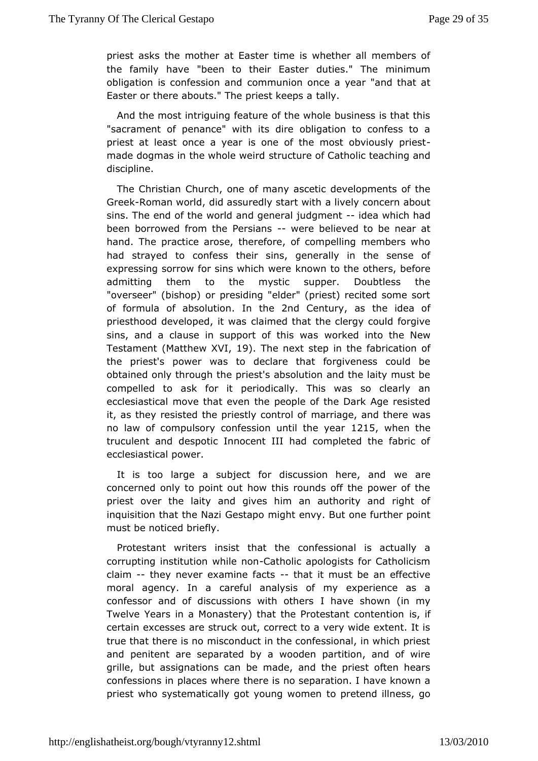priest asks the mother at Easter time is whether all member the family habeen to their Easter duties." The minimum obligation is confessiom maunution once a year "and that at Easter or there abouts." The priably keeps a

And the most intriguing feature of the whole business is tha "sacrament of penance" with its dire obligation to confess priest at lecenscte a year is one of the most obviously priest made dogmas in the whoster weetiurde of Catholic teaching and discipline.

The Christian Churcoh momey ascetic developments of the Gree Roman world, did assuredly as taw to with ncern about sins. The end of the world and generad ejawd gml emitad been borrowed from the P-ews-irænsbelieved to be near at hand.The practice arose, therefore, of compelling members w had strayed to comfeiss sins, generally in the sense of expressing sorrow for sins whicowhnwtoerehe others, before admitting them to the mystic supper. Doubtless the "overseer" (bishop) or presiding "elder" (priest) recited some of formubaf absolutibm the 2nd Centurays the idea of priesthood developed clatin weas that the clergy could forgive sins, and a clause in support wfortheid wrats the New Testame (Matthew  $X \Psi$ 9). The next step in ablication of the priest's power was to declare that forgiveness could obtained only through the priest's absolution and the laity mu compelled ask for it periodically. This was so clearly ar ecclesiastical move that enveron the of the Dark Age resisted it, as they resisted the priesthy aconatgel and there was no law of compulsory confession unto 15twhene the truculent and despotic Innocent III had completed the fabri ecclesiastical power.

It is too large a subject for discussiowne haeree, and concerned only to point out how this rounds off the power o priestover the laity and gives him an authority and right inquisition that the elast and might envy. But one further point  $m$ ust be noti $c$ creiefly.

Protestant writers insist that the confessional is actual corrupting institution whother apologists for Catholicism claim-they never examine-facts it must be an effective moral agency. Icaraeful analysis of my experience as a confessor and of discussions with a voeth selros and my Twelve Years in a Monastery) that the Protestant contention certain excesses are struck out, correct to a very wide exten true that there is no misconduct in the confessional, in which andpenitent are separated by a wooden partition, and of w grille, bartsignations can be made, and the priest often hea confessions in placetshew thee is no separation. I have known a priest who systematically got yotuon op rovionmed illness, go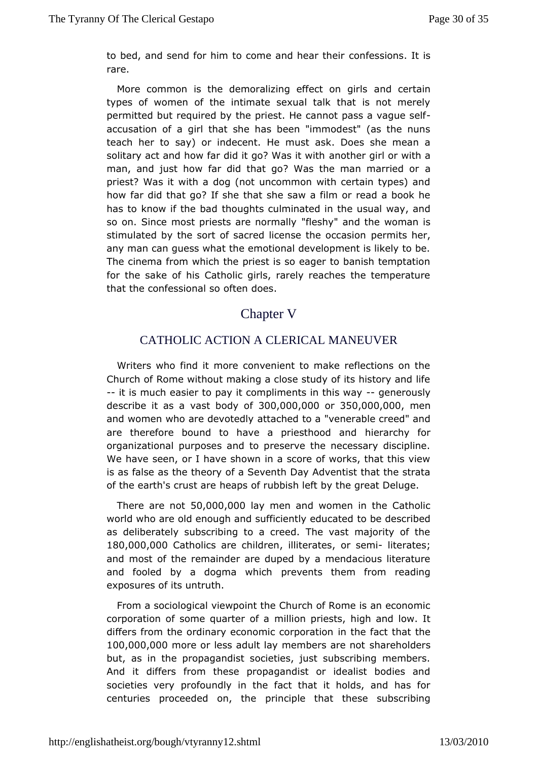to bed, and send for him to come and nies as io hesir it is rare.

More common is the demoralizing effencot centainls types of women of the intimate sexual talk that is not me permitted but required by the priest. He cannot pass a vaque accusation a o girl that she has been "immodest" (as the nuns teach her to say) or in the creats ask. Does she mean a solitary act and how far did it goan W the entropient with a man, and just how far did that go? Was the man married o priest? Was it with a dog (not uncommon with certain types) how far dhoat go? If she that she saw a film or read a book h has to know if the hobuaghts culminated in the usual way, and so on. Since most priests are fleshmy alaynd the woman is stimulated by the sort of sacred licenspeenthmets ochoearsion any man can guess what the emotional development is likely t The cinema from which the priest is so eager to banish tempt for the sad fehis Catholic girls, rarely reaches the temperature that the confession factors of ones.

#### Chapter V

#### CATHOLIC ACTION A CLERICAL MANEUVER

Writers who find it more convenient to make reflections on Church of Rome without making a close study of its history and --it ismuch easier to pay it compliments -ignetheirsouwsdy describe it as a body  $30f0,000,000f350,000,000e$ n and women who are deatter and to a "venerable creed" and are therefore bound to have a priefssitehnoaorochiopanoflor organizational purposes and to preserve the necessary disci We have seen, or I have shown in a score of works, that this is as fals thæs theory of a Seventh Day Adventist that the strat of the earth's crubsetapse of rubbish left by the great Deluge.

There are  $60,000,000$  when and women in the Catholic world who are old enough and sufficient by eddeus cated as deliberately subscribing to a creed. The vast majority o 180,000,000 atholics are childitenates semiiterates; and most tohe remainder are duped by a mendacious literature and fooled by a dogmapwehwichts them from reading exposures of its untruth.

From a sociologie wap oint the Church of Rome is an economic corporation of some quamellion priests, high and low. It differs from the ordinary economic ncomport and the 100,000,000 mOo re or less adult lay membes ths a beroholders but, as in the propagandist societies, just subscribing mem And it differs from these propagandist or idealist bodies societies vperry foundly in the fact that it holds, and has for centuries proceeded optintchiple that these subscribing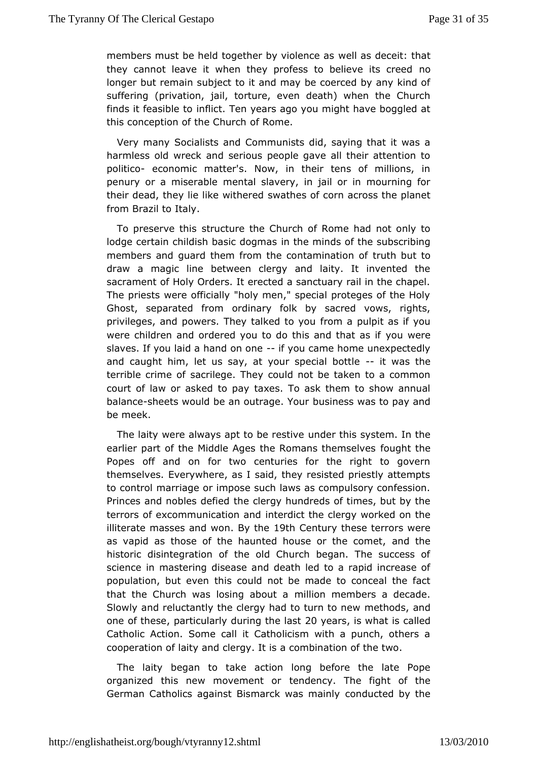members must be held together by well as  $c$  deast it: that they cannot leave it when they profess to bredieve its cree longer but remain subject to it and may be coerced by any ki sufferin 
<sup>ori</sup>ty is to the church torture, even death) when the Church finds it feasibhelitot. Ten years ago you might have boggled at this conception of the CRome.

Very many Socialists and Communists did, saying that it w harmless old wreck and serious people gave all their attenti politicœconomic matter's. Now, in their tens of millions, penury or a misemaebolteal slavery, in jail or in mourning for their dead, they lie like sweith theerse dof corn across the planet from Brazil to Italy.

To preserve sthriuscture the Church of Rome had not only to lodge certain childish basinc thoegmasds of the subscribing members and guard them from the conttamitim abut intoof draw a magic line between clergy and laity. It invented sacrament of Holy Orders. It erected a sanctuary rail in the c The priests officially "holy men," special proteges of the H Ghost, separated ofrom binary folk by sacred vows, rights, privileges, and powers. They tailn come a appropriation is if you were children and ordered you to do thisy caundwehnet as if slaves. If you laid a handifor oan eame home unexpectedly andcaught him, let us say, at your spectiaw absother terrible crimsaofilege. They could not be taken to a common court of law or asked taxes ay To ask them to show annual balaneseheets would be an outrabgues.inYecosus was to pay and be meek.

The laity were always apt toube erest his system. In the earlier part of the Middle Ages the Romans and thethes lves Popes off and on for two centuries for the right to gov themselves. Everywhere, as I said, they resisted priestly att to contmoarriage or impose such laws as compulsory confession. Princes and noblest dee focted rgy hundreds of times, but by the terrors of excommunicatind predinct the clergy worked on the illiterate masses anBdy wthe 9th Century these terrors were as vapid as those of the haunted house a corrol the ecomet, historic disintegration of the old Church began. The succe scienci $e$  mastering disease and death led to a rapid increase population, but tehvis ncould not be made to conceal the fact that the Church was losing malbicount maembers a decade. Slowly and reluctantly the clergy had moetthuordstoametw one of the pseenticularly during 2hoey easy is what cissiled Catholic Action. Some call it Catholicism with a punch, oth cooperation of laity and clergy. It is a combination of the two.

The laityegan to take action long before the late Pope organized this new movemendency. The fight of the German Catholics against Bismarck cownadsumoni**a d**niby the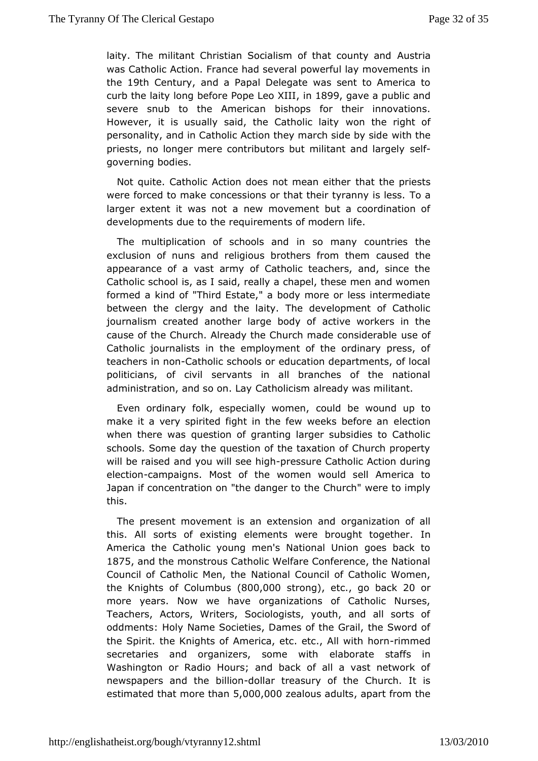laity. The militant Christian Socialism of Alustricaunty and was Catholic Action. France had several powerful lay moveme the 19th Centuray nd a Papal Delegate was sent to America to curb the laity bleofrogree Pope Le. o in XII 899 gave a public and severe snub to the Ambeisihcoams for their innovations. However, it is usually said, the Gwacthothce laigthat of personality, and in Catholic Action they manith thide by side priests, no longer mere contributors but milisteal int and largely governing bodies.

Not quite. Catholic Action does not hmate at mee inthinests were forced to make concessions or that the Trot granny is less. larger extent it was not a new movement but a coordination developmeduse to the requirements of modern life.

The multiplication of schorolsoammdany countries the exclusion of nuns and religious brothecrasusfreed mtheem appearance of a vast army of Catholic teachers, and, since Catholic school is, as I said, really a chapel, these men and formed kaind of "Third Estate," a body more or less intermediation between the clergy handaity. The development of Catholic journalism created another large et booed yw oo fikers in the cause of the Church. Already the Church made of nsiderable Catholic journalists in the employment of the ordinary pres teachers nocatholic schools or education departments, of loc politicians, of seinwithts in all branches of the national administration, and so Coanthollaigism already was militant.

Even ordinary folk, especialby to wholm been, wound up to make it a very spirited fight in the few weeleekstidenefore an when there was question of granting larger subsidies to Catholical schools. Some day the question of the taxation of Church pro will be raiasmedd you will seep theiss shure Catholic Action during electiocnampaigns. Moofstthe women would sell America to Japan if concentration on "the dangeont" ownere to imply this.

The present movement is an extengionization of all this. All sorts of existing elements were brought together America the Catholic young men's National Union goes bac 1875 and themonstrous Catholic Welfare Conference, the Nation Council of Catholic Meant, other I Council of Catholic Women, the Knights of Colu8n0bDy 60 & trongetc, go bac 20 or more years. Now we have organizations of Catholic Nurs Teachers, Actors, Writers, Sociologists, youth, and all sort oddments: HNbayme Societies, Dames of the Grail, the Sword of the Spirit. the Knightmrterioda, etc. etc., All www.immhmed.rn secretaries and organizers, soemlaebormaithe staffs in Washington or Radio Hours; and back of all a vast networ newspapers and the-dolllantian and the Church. It is estimated thate than  $000,0020$  alous adults art from the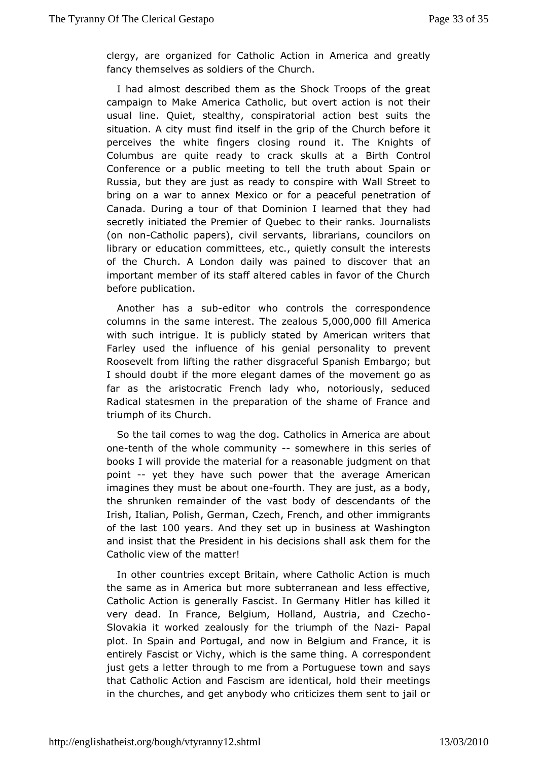clergy, are organiz@atholic Action in America and greatly fancy themselves as soldi@hsurochthe

I had almost described them as the Shock Troops of the g campaign to Make America Catholic, but overt action is not usual lin@uiet, stealthy, conspiratorial action best suits the situation. A city fim dsittself in the grip of the Church before it perceives the white **cilrogseing** round it. The Knights of Columbus are quite ready to crack Bouth Scantral Conference or a public meeting to tell the truth about Spai Russia, but they are just as ready to conspire with Wall Stre bring on waar to annex Mexico or for a peaceful penetration Canada. During a tichuart diominion I learned that they had secretly initiated the Premiert of the unebeacks. Journalists (on noCatholic papers), civil sidemeanians, councilors on library or education committees, etc., to hubieithily e reomit ssult of the Church. A London daily was pained to discover tha important member of its staff altered cables in favor of the C beforeublication.

Another has a-eduttor who controls the correspondence columns in the same  $\overline{a}$  integreeset alo  $60\sqrt{9}$  and  $0.000$  ill America with suchtrigue. It is publicly stated by American writers th Farley used ith futurence of his genial personality to prevent Roosevelt from lifting the egath reather Spanish Embargo; but I should doubt if the more elegant chaome eneorft the as far as the aristocratic French lady who, notoriously, sed Radical statesmen in the preparation of the shame of France triumph of Citus rch.

So the tail comes to wag the dog. Catholics in America are onetenth of the whole commsummter where in this series of books I wpind vide the material for a reasonable judgment on th point-yet they has uech power that the average American imagines they must be a bout the bord are just, as a body, the shrunken remainder of the vast body off descendants Irish, Italian, Polish, German, Czech, French, and other immi ofthe last 00 years And they set up in business at Washington and insist **tha**t President in his decisions shall ask them for t Catholic view or fatther!

In other countries except Britain, where Catholic Action is the same as in America but more subterranean and less effer Catholic Acitsiognenerally Fascist. In Germany Hitler has killed very dead. In FraBredgium, Holland, Austria, and Czecho Slovakia it worked zealous ty iufomph the f the - NP apial plot. In Spain and Portugal, and now ifir Breechium and entirely Fascist or Vichy, which is the cosrarense polmionegnt A just gets a letter through to me from a Portuguese town and that Catholic Action and Fascism are identical, hold their me in thehurches, and get anybody who criticizes them sent to ja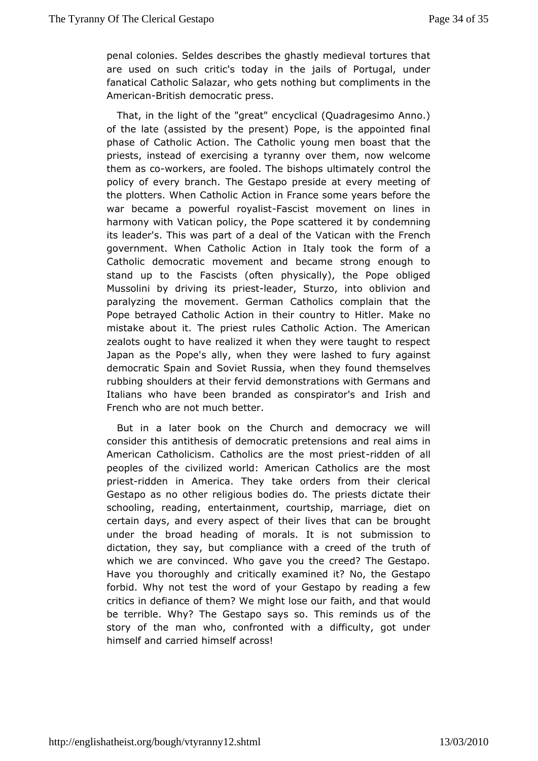penal colonsesdes describes the ghastly medieval tortures that are used on such doiday's in the jails of Portugal, under fanatical Catholic Salazarn outhion getts t compliments in the America British democratic press.

That, ime light of the "great" encyclical (Quadragesimo Ann of the late (asso is the present) Pope, is the appointed final phase of Catholic Acticantholie young men boast that the priests, instead of exercising a theam, ny now welcome them as workers, are fooled. The bishops ultithately control policy of every branch. The Gestapo preside at every meeting theplotters. When Catholic Action in France some years befor war becamepawerful roy Faistist movement on lines in harmony with Vatican poPiocy to the attered it by condemning its leader's. This was part of a Vadte a a hofwihle the French government. When Catholic Action in Italy otfocak the form Catholic democratic movement and became strong enough stand up to Franscists (often physically), the Pope obliged Mussolini by drivingieist bader, Sturzo, into oblivion and paralyzing the movement. Geatholaincs complain that the Pope betrayed Catholic Action in the intlepumMaketono mistake about it. The priest rules Catholic Action. The Ame zealots ought to have realized it when they were taught to re Japan as Phoepe's ally, when they were lashed to fury agains democratic Spain and R Soviet when they found themselves rubbing shoulders at the ermem sidations with Germans and Italians who have been branded as **ands bright oa'red** French who are not much better.

But in a later book Corhutrhcoth and democracy we will consider this antithesis of democrataion op meetaelnaionnesin American Catholicism. Catholics are thied cheonstafolriest peoples of the civilized world: American Catholics are the priestidden in America. They take orders from their cleric Gestapo asomber religious bodies do. The priests dictate the schooling, readeimtog, rtainment, courtship, marriage, diet on certain days, and every abeerctives that can be brought under the broad heading of moralssubtmissiont to dictation, they say, but compliance with a creed of the truwhich we are convinced. Who gave you the creed? The Gest Have you thorougon halve ritically examined it? No, the Gestapo forbid. Why not test the yword Goefstapo by reading a few critics in defiance of them? We mfiagihth, and that would be terrible. Why? The Gestapo says so. Thishereminds us of story of the man who, confronted with a difficulty, got ur himself anadrried himself across!